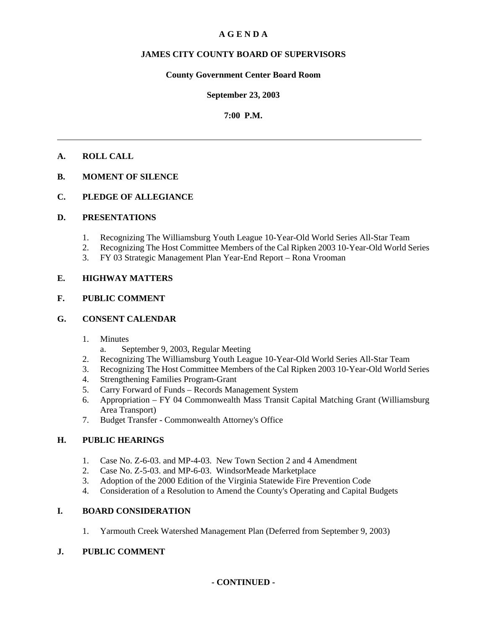# **A G E N D A**

# **JAMES CITY COUNTY BOARD OF SUPERVISORS**

# **County Government Center Board Room**

### **September 23, 2003**

# **7:00 P.M.**

# **A. ROLL CALL**

# **B. MOMENT OF SILENCE**

# **C. PLEDGE OF ALLEGIANCE**

# **D. PRESENTATIONS**

- 1. Recognizing The Williamsburg Youth League 10-Year-Old World Series All-Star Team
- 2. Recognizing The Host Committee Members of the Cal Ripken 2003 10-Year-Old World Series
- 3. FY 03 Strategic Management Plan Year-End Report Rona Vrooman

# **E. HIGHWAY MATTERS**

# **F. PUBLIC COMMENT**

# **G. CONSENT CALENDAR**

- 1. Minutes
	- a. September 9, 2003, Regular Meeting
- 2. Recognizing The Williamsburg Youth League 10-Year-Old World Series All-Star Team
- 3. Recognizing The Host Committee Members of the Cal Ripken 2003 10-Year-Old World Series
- 4. Strengthening Families Program-Grant
- 5. Carry Forward of Funds Records Management System
- 6. Appropriation FY 04 Commonwealth Mass Transit Capital Matching Grant (Williamsburg Area Transport)
- 7. Budget Transfer Commonwealth Attorney's Office

# **H. PUBLIC HEARINGS**

- 1. Case No. Z-6-03. and MP-4-03. New Town Section 2 and 4 Amendment
- 2. Case No. Z-5-03. and MP-6-03. WindsorMeade Marketplace
- 3. Adoption of the 2000 Edition of the Virginia Statewide Fire Prevention Code
- 4. Consideration of a Resolution to Amend the County's Operating and Capital Budgets

# **I. BOARD CONSIDERATION**

1. Yarmouth Creek Watershed Management Plan (Deferred from September 9, 2003)

# **J. PUBLIC COMMENT**

# **- CONTINUED -**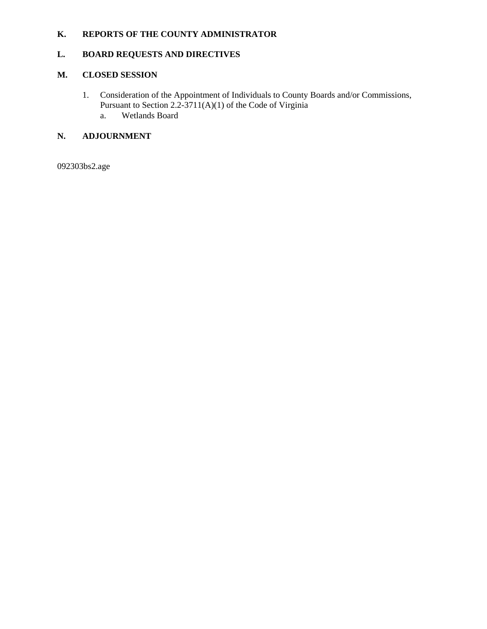# **K. REPORTS OF THE COUNTY ADMINISTRATOR**

# **L. BOARD REQUESTS AND DIRECTIVES**

# **M. CLOSED SESSION**

1. Consideration of the Appointment of Individuals to County Boards and/or Commissions, Pursuant to Section 2.2-3711(A)(1) of the Code of Virginia a. Wetlands Board

# **N. ADJOURNMENT**

092303bs2.age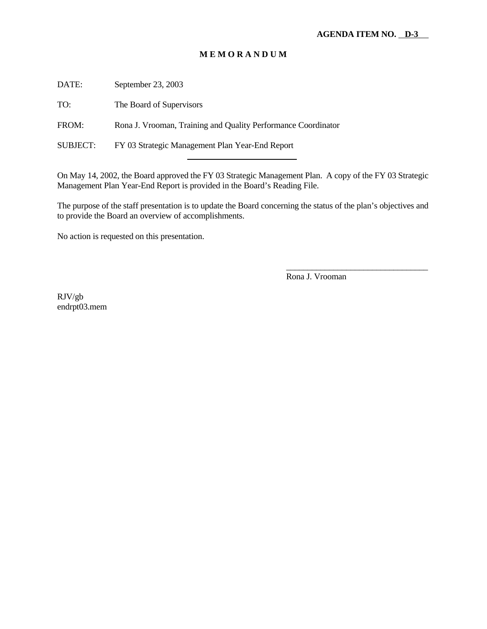DATE: September 23, 2003

TO: The Board of Supervisors

FROM: Rona J. Vrooman, Training and Quality Performance Coordinator

SUBJECT: FY 03 Strategic Management Plan Year-End Report

l

On May 14, 2002, the Board approved the FY 03 Strategic Management Plan. A copy of the FY 03 Strategic Management Plan Year-End Report is provided in the Board's Reading File.

The purpose of the staff presentation is to update the Board concerning the status of the plan's objectives and to provide the Board an overview of accomplishments.

No action is requested on this presentation.

Rona J. Vrooman

\_\_\_\_\_\_\_\_\_\_\_\_\_\_\_\_\_\_\_\_\_\_\_\_\_\_\_\_\_\_\_\_\_

RJV/gb endrpt03.mem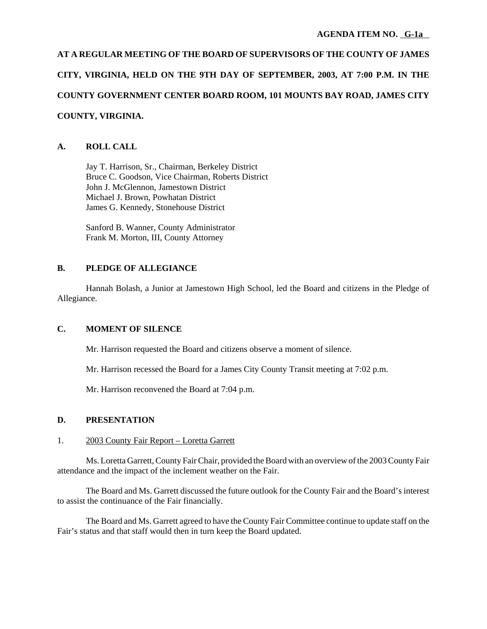**AT A REGULAR MEETING OF THE BOARD OF SUPERVISORS OF THE COUNTY OF JAMES CITY, VIRGINIA, HELD ON THE 9TH DAY OF SEPTEMBER, 2003, AT 7:00 P.M. IN THE COUNTY GOVERNMENT CENTER BOARD ROOM, 101 MOUNTS BAY ROAD, JAMES CITY COUNTY, VIRGINIA.**

# **A. ROLL CALL**

Jay T. Harrison, Sr., Chairman, Berkeley District Bruce C. Goodson, Vice Chairman, Roberts District John J. McGlennon, Jamestown District Michael J. Brown, Powhatan District James G. Kennedy, Stonehouse District

Sanford B. Wanner, County Administrator Frank M. Morton, III, County Attorney

# **B. PLEDGE OF ALLEGIANCE**

Hannah Bolash, a Junior at Jamestown High School, led the Board and citizens in the Pledge of Allegiance.

# **C. MOMENT OF SILENCE**

Mr. Harrison requested the Board and citizens observe a moment of silence.

Mr. Harrison recessed the Board for a James City County Transit meeting at 7:02 p.m.

Mr. Harrison reconvened the Board at 7:04 p.m.

# **D. PRESENTATION**

# 1. 2003 County Fair Report – Loretta Garrett

Ms. Loretta Garrett, County Fair Chair, provided the Board with an overview of the 2003 County Fair attendance and the impact of the inclement weather on the Fair.

The Board and Ms. Garrett discussed the future outlook for the County Fair and the Board's interest to assist the continuance of the Fair financially.

The Board and Ms. Garrett agreed to have the County Fair Committee continue to update staff on the Fair's status and that staff would then in turn keep the Board updated.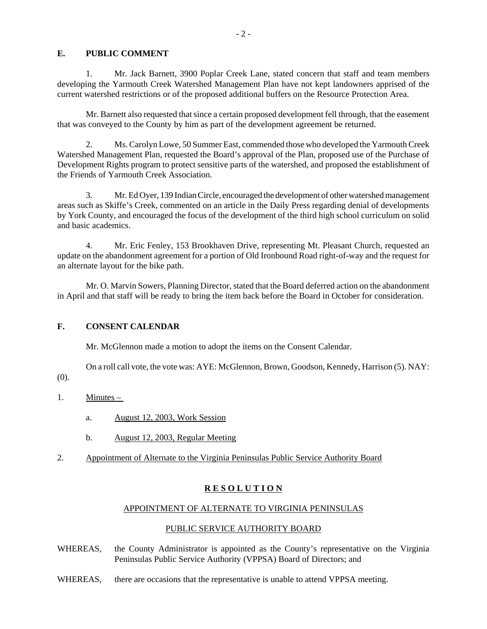### **E. PUBLIC COMMENT**

1. Mr. Jack Barnett, 3900 Poplar Creek Lane, stated concern that staff and team members developing the Yarmouth Creek Watershed Management Plan have not kept landowners apprised of the current watershed restrictions or of the proposed additional buffers on the Resource Protection Area.

Mr. Barnett also requested that since a certain proposed development fell through, that the easement that was conveyed to the County by him as part of the development agreement be returned.

2. Ms. Carolyn Lowe, 50 Summer East, commended those who developed the Yarmouth Creek Watershed Management Plan, requested the Board's approval of the Plan, proposed use of the Purchase of Development Rights program to protect sensitive parts of the watershed, and proposed the establishment of the Friends of Yarmouth Creek Association.

3. Mr. Ed Oyer, 139 Indian Circle, encouraged the development of other watershed management areas such as Skiffe's Creek, commented on an article in the Daily Press regarding denial of developments by York County, and encouraged the focus of the development of the third high school curriculum on solid and basic academics.

4. Mr. Eric Fenley, 153 Brookhaven Drive, representing Mt. Pleasant Church, requested an update on the abandonment agreement for a portion of Old Ironbound Road right-of-way and the request for an alternate layout for the bike path.

Mr. O. Marvin Sowers, Planning Director, stated that the Board deferred action on the abandonment in April and that staff will be ready to bring the item back before the Board in October for consideration.

# **F. CONSENT CALENDAR**

Mr. McGlennon made a motion to adopt the items on the Consent Calendar.

On a roll call vote, the vote was: AYE: McGlennon, Brown, Goodson, Kennedy, Harrison (5). NAY:

(0).

- 1. Minutes
	- a. August 12, 2003, Work Session
	- b. August 12, 2003, Regular Meeting
- 2. Appointment of Alternate to the Virginia Peninsulas Public Service Authority Board

# **R E S O L U T I O N**

#### APPOINTMENT OF ALTERNATE TO VIRGINIA PENINSULAS

# PUBLIC SERVICE AUTHORITY BOARD

- WHEREAS, the County Administrator is appointed as the County's representative on the Virginia Peninsulas Public Service Authority (VPPSA) Board of Directors; and
- WHEREAS, there are occasions that the representative is unable to attend VPPSA meeting.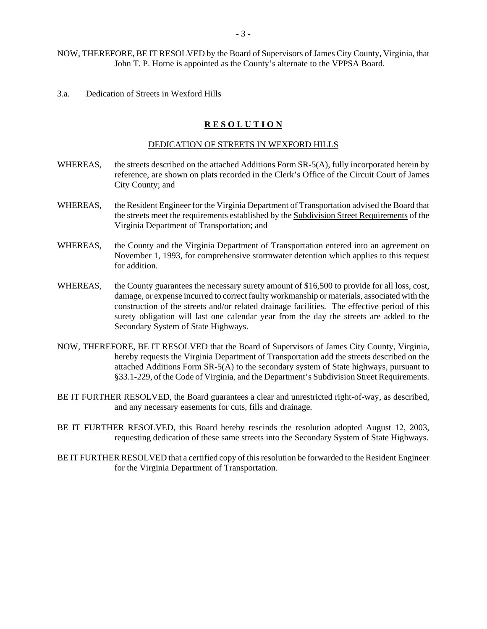### 3.a. Dedication of Streets in Wexford Hills

# **R E S O L U T I O N**

#### DEDICATION OF STREETS IN WEXFORD HILLS

- WHEREAS, the streets described on the attached Additions Form SR-5(A), fully incorporated herein by reference, are shown on plats recorded in the Clerk's Office of the Circuit Court of James City County; and
- WHEREAS, the Resident Engineer for the Virginia Department of Transportation advised the Board that the streets meet the requirements established by the Subdivision Street Requirements of the Virginia Department of Transportation; and
- WHEREAS, the County and the Virginia Department of Transportation entered into an agreement on November 1, 1993, for comprehensive stormwater detention which applies to this request for addition.
- WHEREAS, the County guarantees the necessary surety amount of \$16,500 to provide for all loss, cost, damage, or expense incurred to correct faulty workmanship or materials, associated with the construction of the streets and/or related drainage facilities. The effective period of this surety obligation will last one calendar year from the day the streets are added to the Secondary System of State Highways.
- NOW, THEREFORE, BE IT RESOLVED that the Board of Supervisors of James City County, Virginia, hereby requests the Virginia Department of Transportation add the streets described on the attached Additions Form SR-5(A) to the secondary system of State highways, pursuant to §33.1-229, of the Code of Virginia, and the Department's Subdivision Street Requirements.
- BE IT FURTHER RESOLVED, the Board guarantees a clear and unrestricted right-of-way, as described, and any necessary easements for cuts, fills and drainage.
- BE IT FURTHER RESOLVED, this Board hereby rescinds the resolution adopted August 12, 2003, requesting dedication of these same streets into the Secondary System of State Highways.
- BE IT FURTHER RESOLVED that a certified copy of this resolution be forwarded to the Resident Engineer for the Virginia Department of Transportation.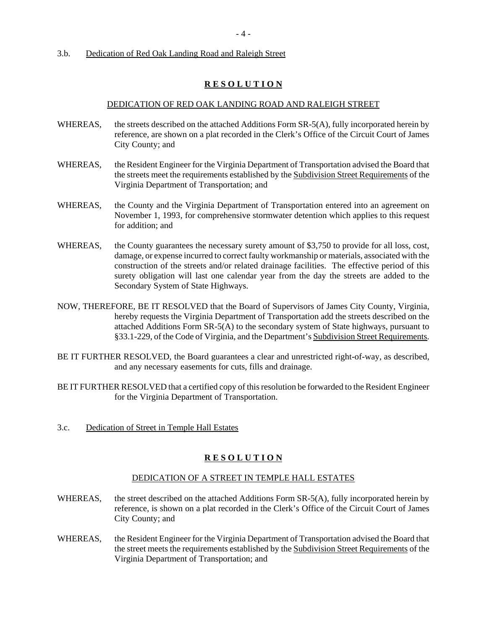### 3.b. Dedication of Red Oak Landing Road and Raleigh Street

# **R E S O L U T I O N**

#### DEDICATION OF RED OAK LANDING ROAD AND RALEIGH STREET

- WHEREAS, the streets described on the attached Additions Form SR-5(A), fully incorporated herein by reference, are shown on a plat recorded in the Clerk's Office of the Circuit Court of James City County; and
- WHEREAS, the Resident Engineer for the Virginia Department of Transportation advised the Board that the streets meet the requirements established by the Subdivision Street Requirements of the Virginia Department of Transportation; and
- WHEREAS, the County and the Virginia Department of Transportation entered into an agreement on November 1, 1993, for comprehensive stormwater detention which applies to this request for addition; and
- WHEREAS, the County guarantees the necessary surety amount of \$3,750 to provide for all loss, cost, damage, or expense incurred to correct faulty workmanship or materials, associated with the construction of the streets and/or related drainage facilities. The effective period of this surety obligation will last one calendar year from the day the streets are added to the Secondary System of State Highways.
- NOW, THEREFORE, BE IT RESOLVED that the Board of Supervisors of James City County, Virginia, hereby requests the Virginia Department of Transportation add the streets described on the attached Additions Form SR-5(A) to the secondary system of State highways, pursuant to §33.1-229, of the Code of Virginia, and the Department's Subdivision Street Requirements.
- BE IT FURTHER RESOLVED, the Board guarantees a clear and unrestricted right-of-way, as described, and any necessary easements for cuts, fills and drainage.
- BE IT FURTHER RESOLVED that a certified copy of this resolution be forwarded to the Resident Engineer for the Virginia Department of Transportation.
- 3.c. Dedication of Street in Temple Hall Estates

# **R E S O L U T I O N**

#### DEDICATION OF A STREET IN TEMPLE HALL ESTATES

- WHEREAS, the street described on the attached Additions Form SR-5(A), fully incorporated herein by reference, is shown on a plat recorded in the Clerk's Office of the Circuit Court of James City County; and
- WHEREAS, the Resident Engineer for the Virginia Department of Transportation advised the Board that the street meets the requirements established by the Subdivision Street Requirements of the Virginia Department of Transportation; and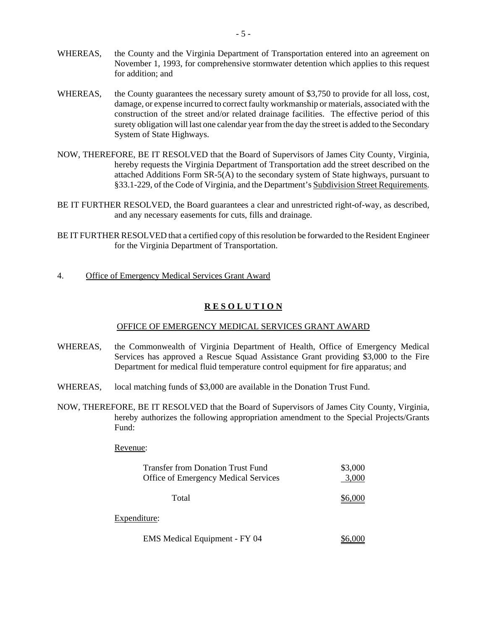- WHEREAS, the County and the Virginia Department of Transportation entered into an agreement on November 1, 1993, for comprehensive stormwater detention which applies to this request for addition; and
- WHEREAS, the County guarantees the necessary surety amount of \$3,750 to provide for all loss, cost, damage, or expense incurred to correct faulty workmanship or materials, associated with the construction of the street and/or related drainage facilities. The effective period of this surety obligation will last one calendar year from the day the street is added to the Secondary System of State Highways.
- NOW, THEREFORE, BE IT RESOLVED that the Board of Supervisors of James City County, Virginia, hereby requests the Virginia Department of Transportation add the street described on the attached Additions Form SR-5(A) to the secondary system of State highways, pursuant to §33.1-229, of the Code of Virginia, and the Department's Subdivision Street Requirements.
- BE IT FURTHER RESOLVED, the Board guarantees a clear and unrestricted right-of-way, as described, and any necessary easements for cuts, fills and drainage.
- BE IT FURTHER RESOLVED that a certified copy of this resolution be forwarded to the Resident Engineer for the Virginia Department of Transportation.
- 4. Office of Emergency Medical Services Grant Award

# **R E S O L U T I O N**

### OFFICE OF EMERGENCY MEDICAL SERVICES GRANT AWARD

- WHEREAS, the Commonwealth of Virginia Department of Health, Office of Emergency Medical Services has approved a Rescue Squad Assistance Grant providing \$3,000 to the Fire Department for medical fluid temperature control equipment for fire apparatus; and
- WHEREAS, local matching funds of \$3,000 are available in the Donation Trust Fund.
- NOW, THEREFORE, BE IT RESOLVED that the Board of Supervisors of James City County, Virginia, hereby authorizes the following appropriation amendment to the Special Projects/Grants Fund:

#### Revenue:

| <b>Transfer from Donation Trust Fund</b><br><b>Office of Emergency Medical Services</b> | \$3,000<br>3,000 |
|-----------------------------------------------------------------------------------------|------------------|
| Total                                                                                   |                  |
| Expenditure:                                                                            |                  |
| EMS Medical Equipment - FY 04                                                           |                  |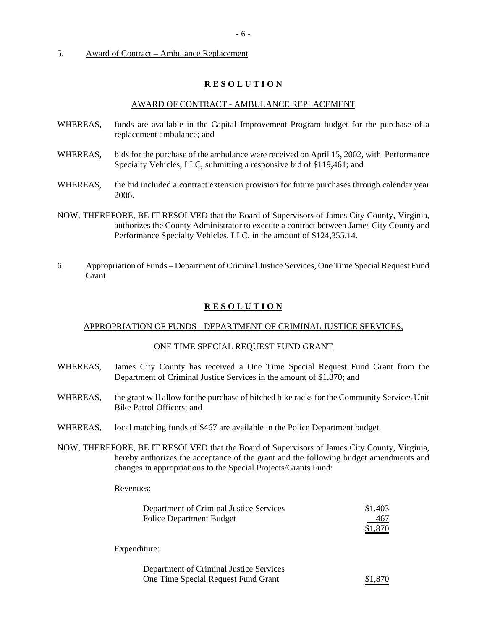### 5. Award of Contract – Ambulance Replacement

### **R E S O L U T I O N**

#### AWARD OF CONTRACT - AMBULANCE REPLACEMENT

- WHEREAS, funds are available in the Capital Improvement Program budget for the purchase of a replacement ambulance; and
- WHEREAS, bids for the purchase of the ambulance were received on April 15, 2002, with Performance Specialty Vehicles, LLC, submitting a responsive bid of \$119,461; and
- WHEREAS, the bid included a contract extension provision for future purchases through calendar year 2006.
- NOW, THEREFORE, BE IT RESOLVED that the Board of Supervisors of James City County, Virginia, authorizes the County Administrator to execute a contract between James City County and Performance Specialty Vehicles, LLC, in the amount of \$124,355.14.
- 6. Appropriation of Funds Department of Criminal Justice Services, One Time Special Request Fund Grant

# **R E S O L U T I O N**

#### APPROPRIATION OF FUNDS - DEPARTMENT OF CRIMINAL JUSTICE SERVICES,

#### ONE TIME SPECIAL REQUEST FUND GRANT

- WHEREAS, James City County has received a One Time Special Request Fund Grant from the Department of Criminal Justice Services in the amount of \$1,870; and
- WHEREAS, the grant will allow for the purchase of hitched bike racks for the Community Services Unit Bike Patrol Officers; and
- WHEREAS, local matching funds of \$467 are available in the Police Department budget.
- NOW, THEREFORE, BE IT RESOLVED that the Board of Supervisors of James City County, Virginia, hereby authorizes the acceptance of the grant and the following budget amendments and changes in appropriations to the Special Projects/Grants Fund:

#### Revenues:

| Department of Criminal Justice Services | \$1,403 |
|-----------------------------------------|---------|
| <b>Police Department Budget</b>         | 467     |
|                                         | \$1,870 |
| Expenditure:                            |         |
| Department of Criminal Justice Services |         |
| One Time Special Request Fund Grant     |         |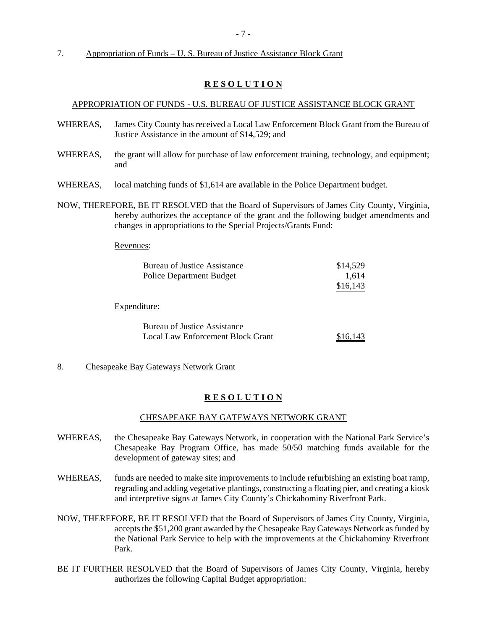7. Appropriation of Funds – U. S. Bureau of Justice Assistance Block Grant

### **R E S O L U T I O N**

### APPROPRIATION OF FUNDS - U.S. BUREAU OF JUSTICE ASSISTANCE BLOCK GRANT

- WHEREAS, James City County has received a Local Law Enforcement Block Grant from the Bureau of Justice Assistance in the amount of \$14,529; and
- WHEREAS, the grant will allow for purchase of law enforcement training, technology, and equipment; and
- WHEREAS, local matching funds of \$1,614 are available in the Police Department budget.
- NOW, THEREFORE, BE IT RESOLVED that the Board of Supervisors of James City County, Virginia, hereby authorizes the acceptance of the grant and the following budget amendments and changes in appropriations to the Special Projects/Grants Fund:

Revenues:

| Bureau of Justice Assistance<br><b>Police Department Budget</b>                 | \$14,529<br>1,614<br>\$16,143 |
|---------------------------------------------------------------------------------|-------------------------------|
| Expenditure:                                                                    |                               |
| <b>Bureau of Justice Assistance</b><br><b>Local Law Enforcement Block Grant</b> | \$16,143                      |

### 8. Chesapeake Bay Gateways Network Grant

#### **R E S O L U T I O N**

#### CHESAPEAKE BAY GATEWAYS NETWORK GRANT

- WHEREAS, the Chesapeake Bay Gateways Network, in cooperation with the National Park Service's Chesapeake Bay Program Office, has made 50/50 matching funds available for the development of gateway sites; and
- WHEREAS, funds are needed to make site improvements to include refurbishing an existing boat ramp, regrading and adding vegetative plantings, constructing a floating pier, and creating a kiosk and interpretive signs at James City County's Chickahominy Riverfront Park.
- NOW, THEREFORE, BE IT RESOLVED that the Board of Supervisors of James City County, Virginia, accepts the \$51,200 grant awarded by the Chesapeake Bay Gateways Network as funded by the National Park Service to help with the improvements at the Chickahominy Riverfront Park.
- BE IT FURTHER RESOLVED that the Board of Supervisors of James City County, Virginia, hereby authorizes the following Capital Budget appropriation: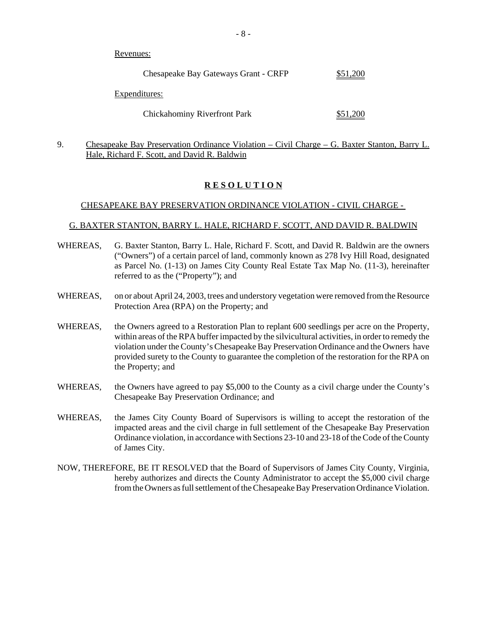Revenues:

| Chesapeake Bay Gateways Grant - CRFP | \$51,200 |
|--------------------------------------|----------|
| Expenditures:                        |          |
| <b>Chickahominy Riverfront Park</b>  | \$51,200 |

9. Chesapeake Bay Preservation Ordinance Violation – Civil Charge – G. Baxter Stanton, Barry L. Hale, Richard F. Scott, and David R. Baldwin

# **R E S O L U T I O N**

### CHESAPEAKE BAY PRESERVATION ORDINANCE VIOLATION - CIVIL CHARGE -

### G. BAXTER STANTON, BARRY L. HALE, RICHARD F. SCOTT, AND DAVID R. BALDWIN

- WHEREAS, G. Baxter Stanton, Barry L. Hale, Richard F. Scott, and David R. Baldwin are the owners ("Owners") of a certain parcel of land, commonly known as 278 Ivy Hill Road, designated as Parcel No. (1-13) on James City County Real Estate Tax Map No. (11-3), hereinafter referred to as the ("Property"); and
- WHEREAS, on or about April 24, 2003, trees and understory vegetation were removed from the Resource Protection Area (RPA) on the Property; and
- WHEREAS, the Owners agreed to a Restoration Plan to replant 600 seedlings per acre on the Property, within areas of the RPA buffer impacted by the silvicultural activities, in order to remedy the violation under the County's Chesapeake Bay Preservation Ordinance and the Owners have provided surety to the County to guarantee the completion of the restoration for the RPA on the Property; and
- WHEREAS, the Owners have agreed to pay \$5,000 to the County as a civil charge under the County's Chesapeake Bay Preservation Ordinance; and
- WHEREAS, the James City County Board of Supervisors is willing to accept the restoration of the impacted areas and the civil charge in full settlement of the Chesapeake Bay Preservation Ordinance violation, in accordance with Sections 23-10 and 23-18 of the Code of the County of James City.
- NOW, THEREFORE, BE IT RESOLVED that the Board of Supervisors of James City County, Virginia, hereby authorizes and directs the County Administrator to accept the \$5,000 civil charge from the Owners as full settlement of the Chesapeake Bay Preservation Ordinance Violation.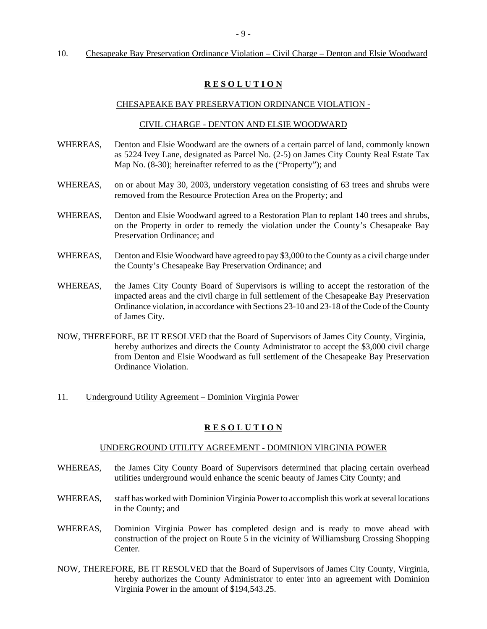#### - 9 -

#### 10. Chesapeake Bay Preservation Ordinance Violation – Civil Charge – Denton and Elsie Woodward

### **R E S O L U T I O N**

#### CHESAPEAKE BAY PRESERVATION ORDINANCE VIOLATION -

#### CIVIL CHARGE - DENTON AND ELSIE WOODWARD

- WHEREAS, Denton and Elsie Woodward are the owners of a certain parcel of land, commonly known as 5224 Ivey Lane, designated as Parcel No. (2-5) on James City County Real Estate Tax Map No. (8-30); hereinafter referred to as the ("Property"); and
- WHEREAS, on or about May 30, 2003, understory vegetation consisting of 63 trees and shrubs were removed from the Resource Protection Area on the Property; and
- WHEREAS, Denton and Elsie Woodward agreed to a Restoration Plan to replant 140 trees and shrubs, on the Property in order to remedy the violation under the County's Chesapeake Bay Preservation Ordinance; and
- WHEREAS, Denton and Elsie Woodward have agreed to pay \$3,000 to the County as a civil charge under the County's Chesapeake Bay Preservation Ordinance; and
- WHEREAS, the James City County Board of Supervisors is willing to accept the restoration of the impacted areas and the civil charge in full settlement of the Chesapeake Bay Preservation Ordinance violation, in accordance with Sections 23-10 and 23-18 of the Code of the County of James City.
- NOW, THEREFORE, BE IT RESOLVED that the Board of Supervisors of James City County, Virginia, hereby authorizes and directs the County Administrator to accept the \$3,000 civil charge from Denton and Elsie Woodward as full settlement of the Chesapeake Bay Preservation Ordinance Violation.
- 11. Underground Utility Agreement Dominion Virginia Power

#### **R E S O L U T I O N**

#### UNDERGROUND UTILITY AGREEMENT - DOMINION VIRGINIA POWER

- WHEREAS, the James City County Board of Supervisors determined that placing certain overhead utilities underground would enhance the scenic beauty of James City County; and
- WHEREAS, staff has worked with Dominion Virginia Power to accomplish this work at several locations in the County; and
- WHEREAS, Dominion Virginia Power has completed design and is ready to move ahead with construction of the project on Route 5 in the vicinity of Williamsburg Crossing Shopping Center.
- NOW, THEREFORE, BE IT RESOLVED that the Board of Supervisors of James City County, Virginia, hereby authorizes the County Administrator to enter into an agreement with Dominion Virginia Power in the amount of \$194,543.25.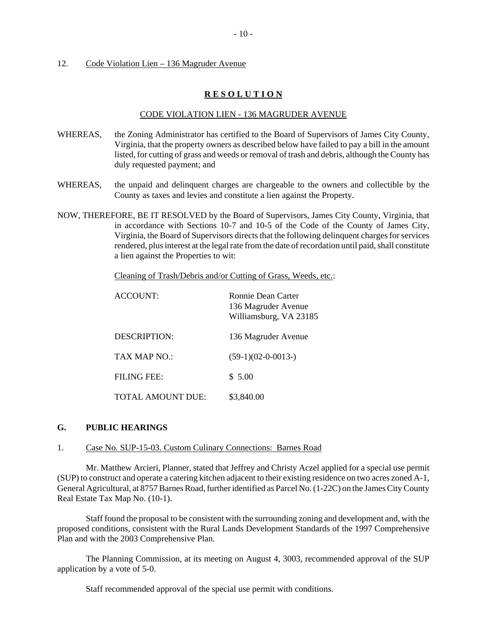#### 12. Code Violation Lien – 136 Magruder Avenue

### **R E S O L U T I O N**

### CODE VIOLATION LIEN - 136 MAGRUDER AVENUE

- WHEREAS, the Zoning Administrator has certified to the Board of Supervisors of James City County, Virginia, that the property owners as described below have failed to pay a bill in the amount listed, for cutting of grass and weeds or removal of trash and debris, although the County has duly requested payment; and
- WHEREAS, the unpaid and delinquent charges are chargeable to the owners and collectible by the County as taxes and levies and constitute a lien against the Property.
- NOW, THEREFORE, BE IT RESOLVED by the Board of Supervisors, James City County, Virginia, that in accordance with Sections 10-7 and 10-5 of the Code of the County of James City, Virginia, the Board of Supervisors directs that the following delinquent charges for services rendered, plus interest at the legal rate from the date of recordation until paid, shall constitute a lien against the Properties to wit:

Cleaning of Trash/Debris and/or Cutting of Grass, Weeds, etc.:

| ACCOUNT:          | Ronnie Dean Carter<br>136 Magruder Avenue<br>Williamsburg, VA 23185 |
|-------------------|---------------------------------------------------------------------|
| DESCRIPTION:      | 136 Magruder Avenue                                                 |
| TAX MAP NO:       | $(59-1)(02-0-0013-)$                                                |
| FILING FEE:       | \$5.00                                                              |
| TOTAL AMOUNT DUE: | \$3,840.00                                                          |

### **G. PUBLIC HEARINGS**

#### 1. Case No. SUP-15-03. Custom Culinary Connections: Barnes Road

Mr. Matthew Arcieri, Planner, stated that Jeffrey and Christy Aczel applied for a special use permit (SUP) to construct and operate a catering kitchen adjacent to their existing residence on two acres zoned A-1, General Agricultural, at 8757 Barnes Road, further identified as Parcel No. (1-22C) on the James City County Real Estate Tax Map No. (10-1).

Staff found the proposal to be consistent with the surrounding zoning and development and, with the proposed conditions, consistent with the Rural Lands Development Standards of the 1997 Comprehensive Plan and with the 2003 Comprehensive Plan.

The Planning Commission, at its meeting on August 4, 3003, recommended approval of the SUP application by a vote of 5-0.

Staff recommended approval of the special use permit with conditions.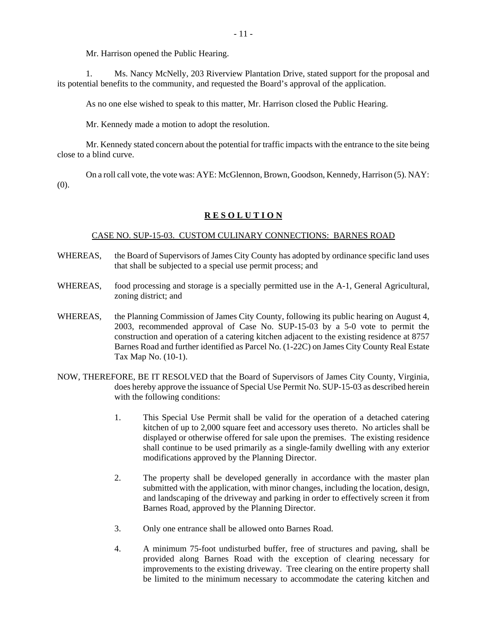Mr. Harrison opened the Public Hearing.

1. Ms. Nancy McNelly, 203 Riverview Plantation Drive, stated support for the proposal and its potential benefits to the community, and requested the Board's approval of the application.

As no one else wished to speak to this matter, Mr. Harrison closed the Public Hearing.

Mr. Kennedy made a motion to adopt the resolution.

Mr. Kennedy stated concern about the potential for traffic impacts with the entrance to the site being close to a blind curve.

On a roll call vote, the vote was: AYE: McGlennon, Brown, Goodson, Kennedy, Harrison (5). NAY: (0).

#### **R E S O L U T I O N**

### CASE NO. SUP-15-03. CUSTOM CULINARY CONNECTIONS: BARNES ROAD

- WHEREAS, the Board of Supervisors of James City County has adopted by ordinance specific land uses that shall be subjected to a special use permit process; and
- WHEREAS, food processing and storage is a specially permitted use in the A-1, General Agricultural, zoning district; and
- WHEREAS, the Planning Commission of James City County, following its public hearing on August 4, 2003, recommended approval of Case No. SUP-15-03 by a 5-0 vote to permit the construction and operation of a catering kitchen adjacent to the existing residence at 8757 Barnes Road and further identified as Parcel No. (1-22C) on James City County Real Estate Tax Map No. (10-1).
- NOW, THEREFORE, BE IT RESOLVED that the Board of Supervisors of James City County, Virginia, does hereby approve the issuance of Special Use Permit No. SUP-15-03 as described herein with the following conditions:
	- 1. This Special Use Permit shall be valid for the operation of a detached catering kitchen of up to 2,000 square feet and accessory uses thereto. No articles shall be displayed or otherwise offered for sale upon the premises. The existing residence shall continue to be used primarily as a single-family dwelling with any exterior modifications approved by the Planning Director.
	- 2. The property shall be developed generally in accordance with the master plan submitted with the application, with minor changes, including the location, design, and landscaping of the driveway and parking in order to effectively screen it from Barnes Road, approved by the Planning Director.
	- 3. Only one entrance shall be allowed onto Barnes Road.
	- 4. A minimum 75-foot undisturbed buffer, free of structures and paving, shall be provided along Barnes Road with the exception of clearing necessary for improvements to the existing driveway. Tree clearing on the entire property shall be limited to the minimum necessary to accommodate the catering kitchen and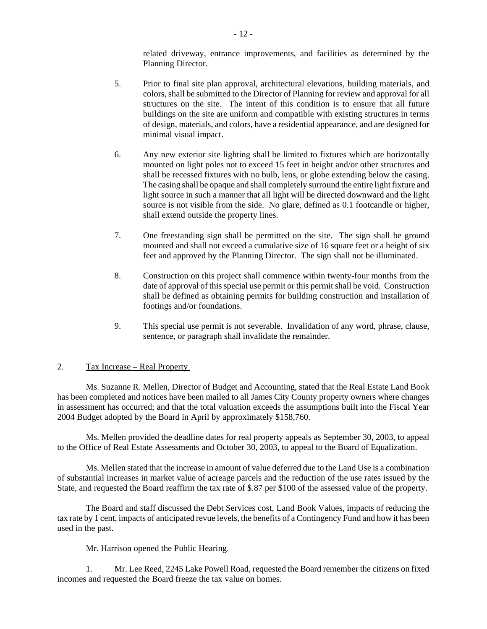related driveway, entrance improvements, and facilities as determined by the Planning Director.

- 5. Prior to final site plan approval, architectural elevations, building materials, and colors, shall be submitted to the Director of Planning for review and approval for all structures on the site. The intent of this condition is to ensure that all future buildings on the site are uniform and compatible with existing structures in terms of design, materials, and colors, have a residential appearance, and are designed for minimal visual impact.
- 6. Any new exterior site lighting shall be limited to fixtures which are horizontally mounted on light poles not to exceed 15 feet in height and/or other structures and shall be recessed fixtures with no bulb, lens, or globe extending below the casing. The casing shall be opaque and shall completely surround the entire light fixture and light source in such a manner that all light will be directed downward and the light source is not visible from the side. No glare, defined as 0.1 footcandle or higher, shall extend outside the property lines.
- 7. One freestanding sign shall be permitted on the site. The sign shall be ground mounted and shall not exceed a cumulative size of 16 square feet or a height of six feet and approved by the Planning Director. The sign shall not be illuminated.
- 8. Construction on this project shall commence within twenty-four months from the date of approval of this special use permit or this permit shall be void. Construction shall be defined as obtaining permits for building construction and installation of footings and/or foundations.
- 9. This special use permit is not severable. Invalidation of any word, phrase, clause, sentence, or paragraph shall invalidate the remainder.

### 2. Tax Increase – Real Property

Ms. Suzanne R. Mellen, Director of Budget and Accounting, stated that the Real Estate Land Book has been completed and notices have been mailed to all James City County property owners where changes in assessment has occurred; and that the total valuation exceeds the assumptions built into the Fiscal Year 2004 Budget adopted by the Board in April by approximately \$158,760.

Ms. Mellen provided the deadline dates for real property appeals as September 30, 2003, to appeal to the Office of Real Estate Assessments and October 30, 2003, to appeal to the Board of Equalization.

Ms. Mellen stated that the increase in amount of value deferred due to the Land Use is a combination of substantial increases in market value of acreage parcels and the reduction of the use rates issued by the State, and requested the Board reaffirm the tax rate of \$.87 per \$100 of the assessed value of the property.

The Board and staff discussed the Debt Services cost, Land Book Values, impacts of reducing the tax rate by 1 cent, impacts of anticipated revue levels, the benefits of a Contingency Fund and how it has been used in the past.

Mr. Harrison opened the Public Hearing.

1. Mr. Lee Reed, 2245 Lake Powell Road, requested the Board remember the citizens on fixed incomes and requested the Board freeze the tax value on homes.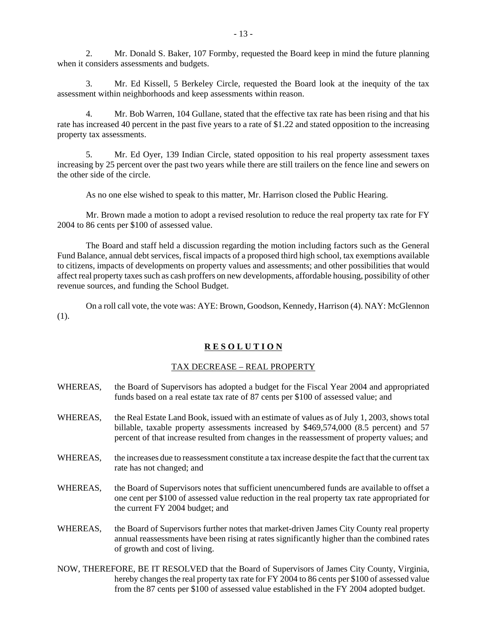2. Mr. Donald S. Baker, 107 Formby, requested the Board keep in mind the future planning when it considers assessments and budgets.

3. Mr. Ed Kissell, 5 Berkeley Circle, requested the Board look at the inequity of the tax assessment within neighborhoods and keep assessments within reason.

4. Mr. Bob Warren, 104 Gullane, stated that the effective tax rate has been rising and that his rate has increased 40 percent in the past five years to a rate of \$1.22 and stated opposition to the increasing property tax assessments.

5. Mr. Ed Oyer, 139 Indian Circle, stated opposition to his real property assessment taxes increasing by 25 percent over the past two years while there are still trailers on the fence line and sewers on the other side of the circle.

As no one else wished to speak to this matter, Mr. Harrison closed the Public Hearing.

Mr. Brown made a motion to adopt a revised resolution to reduce the real property tax rate for FY 2004 to 86 cents per \$100 of assessed value.

The Board and staff held a discussion regarding the motion including factors such as the General Fund Balance, annual debt services, fiscal impacts of a proposed third high school, tax exemptions available to citizens, impacts of developments on property values and assessments; and other possibilities that would affect real property taxes such as cash proffers on new developments, affordable housing, possibility of other revenue sources, and funding the School Budget.

On a roll call vote, the vote was: AYE: Brown, Goodson, Kennedy, Harrison (4). NAY: McGlennon (1).

#### **R E S O L U T I O N**

#### TAX DECREASE – REAL PROPERTY

- WHEREAS, the Board of Supervisors has adopted a budget for the Fiscal Year 2004 and appropriated funds based on a real estate tax rate of 87 cents per \$100 of assessed value; and
- WHEREAS, the Real Estate Land Book, issued with an estimate of values as of July 1, 2003, shows total billable, taxable property assessments increased by \$469,574,000 (8.5 percent) and 57 percent of that increase resulted from changes in the reassessment of property values; and
- WHEREAS, the increases due to reassessment constitute a tax increase despite the fact that the current tax rate has not changed; and
- WHEREAS, the Board of Supervisors notes that sufficient unencumbered funds are available to offset a one cent per \$100 of assessed value reduction in the real property tax rate appropriated for the current FY 2004 budget; and
- WHEREAS, the Board of Supervisors further notes that market-driven James City County real property annual reassessments have been rising at rates significantly higher than the combined rates of growth and cost of living.
- NOW, THEREFORE, BE IT RESOLVED that the Board of Supervisors of James City County, Virginia, hereby changes the real property tax rate for FY 2004 to 86 cents per \$100 of assessed value from the 87 cents per \$100 of assessed value established in the FY 2004 adopted budget.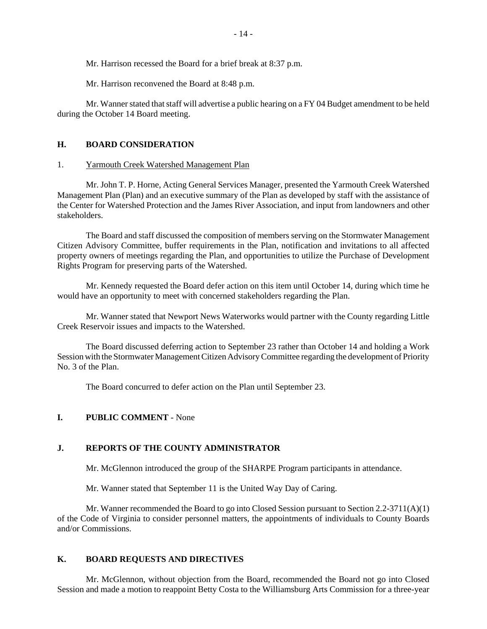Mr. Harrison recessed the Board for a brief break at 8:37 p.m.

Mr. Harrison reconvened the Board at 8:48 p.m.

Mr. Wanner stated that staff will advertise a public hearing on a FY 04 Budget amendment to be held during the October 14 Board meeting.

### **H. BOARD CONSIDERATION**

#### 1. Yarmouth Creek Watershed Management Plan

Mr. John T. P. Horne, Acting General Services Manager, presented the Yarmouth Creek Watershed Management Plan (Plan) and an executive summary of the Plan as developed by staff with the assistance of the Center for Watershed Protection and the James River Association, and input from landowners and other stakeholders.

The Board and staff discussed the composition of members serving on the Stormwater Management Citizen Advisory Committee, buffer requirements in the Plan, notification and invitations to all affected property owners of meetings regarding the Plan, and opportunities to utilize the Purchase of Development Rights Program for preserving parts of the Watershed.

Mr. Kennedy requested the Board defer action on this item until October 14, during which time he would have an opportunity to meet with concerned stakeholders regarding the Plan.

Mr. Wanner stated that Newport News Waterworks would partner with the County regarding Little Creek Reservoir issues and impacts to the Watershed.

The Board discussed deferring action to September 23 rather than October 14 and holding a Work Session with the Stormwater Management Citizen Advisory Committee regarding the development of Priority No. 3 of the Plan.

The Board concurred to defer action on the Plan until September 23.

#### **I. PUBLIC COMMENT** - None

### **J. REPORTS OF THE COUNTY ADMINISTRATOR**

Mr. McGlennon introduced the group of the SHARPE Program participants in attendance.

Mr. Wanner stated that September 11 is the United Way Day of Caring.

Mr. Wanner recommended the Board to go into Closed Session pursuant to Section  $2.2\n-3711(A)(1)$ of the Code of Virginia to consider personnel matters, the appointments of individuals to County Boards and/or Commissions.

# **K. BOARD REQUESTS AND DIRECTIVES**

Mr. McGlennon, without objection from the Board, recommended the Board not go into Closed Session and made a motion to reappoint Betty Costa to the Williamsburg Arts Commission for a three-year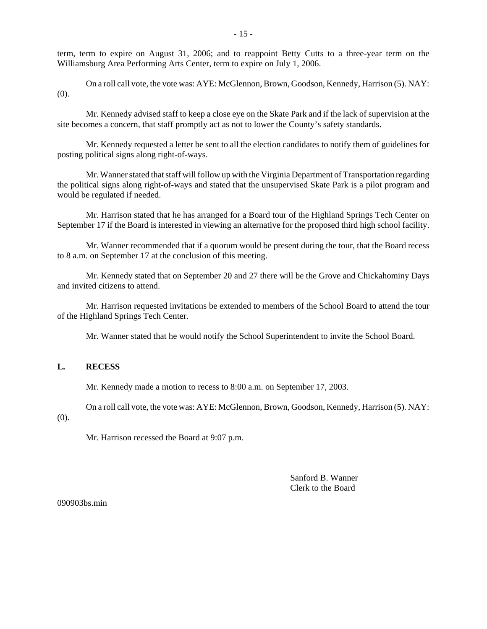term, term to expire on August 31, 2006; and to reappoint Betty Cutts to a three-year term on the Williamsburg Area Performing Arts Center, term to expire on July 1, 2006.

On a roll call vote, the vote was: AYE: McGlennon, Brown, Goodson, Kennedy, Harrison (5). NAY: (0).

Mr. Kennedy advised staff to keep a close eye on the Skate Park and if the lack of supervision at the site becomes a concern, that staff promptly act as not to lower the County's safety standards.

Mr. Kennedy requested a letter be sent to all the election candidates to notify them of guidelines for posting political signs along right-of-ways.

Mr. Wanner stated that staff will follow up with the Virginia Department of Transportation regarding the political signs along right-of-ways and stated that the unsupervised Skate Park is a pilot program and would be regulated if needed.

Mr. Harrison stated that he has arranged for a Board tour of the Highland Springs Tech Center on September 17 if the Board is interested in viewing an alternative for the proposed third high school facility.

Mr. Wanner recommended that if a quorum would be present during the tour, that the Board recess to 8 a.m. on September 17 at the conclusion of this meeting.

Mr. Kennedy stated that on September 20 and 27 there will be the Grove and Chickahominy Days and invited citizens to attend.

Mr. Harrison requested invitations be extended to members of the School Board to attend the tour of the Highland Springs Tech Center.

Mr. Wanner stated that he would notify the School Superintendent to invite the School Board.

# **L. RECESS**

Mr. Kennedy made a motion to recess to 8:00 a.m. on September 17, 2003.

On a roll call vote, the vote was: AYE: McGlennon, Brown, Goodson, Kennedy, Harrison (5). NAY:

(0).

Mr. Harrison recessed the Board at 9:07 p.m.

Sanford B. Wanner Clerk to the Board

l

090903bs.min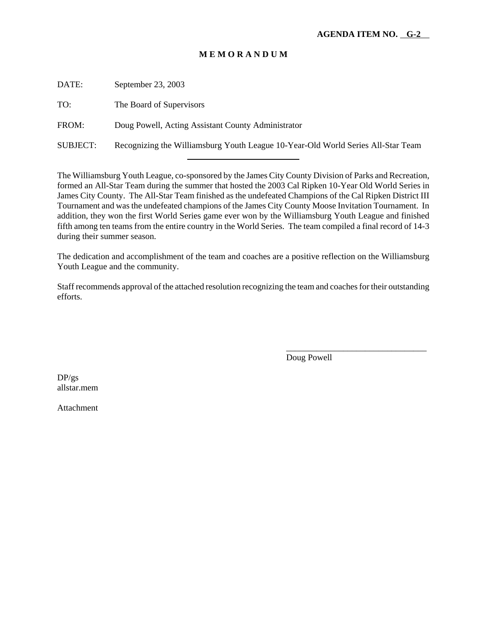DATE: September 23, 2003 TO: The Board of Supervisors FROM: Doug Powell, Acting Assistant County Administrator SUBJECT: Recognizing the Williamsburg Youth League 10-Year-Old World Series All-Star Team

l

The Williamsburg Youth League, co-sponsored by the James City County Division of Parks and Recreation, formed an All-Star Team during the summer that hosted the 2003 Cal Ripken 10-Year Old World Series in James City County. The All-Star Team finished as the undefeated Champions of the Cal Ripken District III Tournament and was the undefeated champions of the James City County Moose Invitation Tournament. In addition, they won the first World Series game ever won by the Williamsburg Youth League and finished fifth among ten teams from the entire country in the World Series. The team compiled a final record of 14-3 during their summer season.

The dedication and accomplishment of the team and coaches are a positive reflection on the Williamsburg Youth League and the community.

Staff recommends approval of the attached resolution recognizing the team and coaches for their outstanding efforts.

Doug Powell

\_\_\_\_\_\_\_\_\_\_\_\_\_\_\_\_\_\_\_\_\_\_\_\_\_\_\_\_\_\_\_\_

 $DP/gs$ allstar.mem

Attachment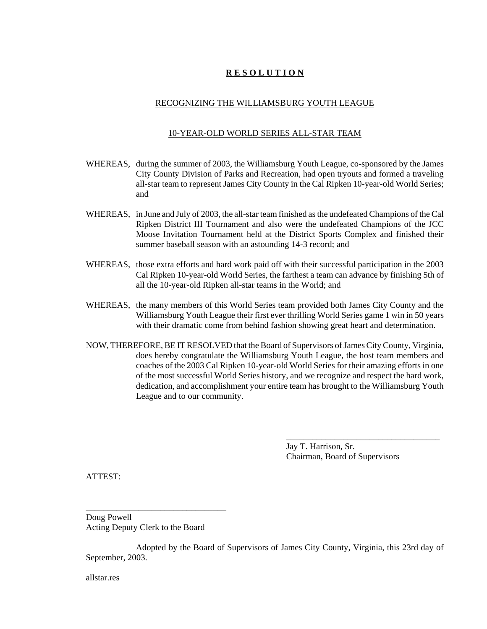# **R E S O L U T I O N**

# RECOGNIZING THE WILLIAMSBURG YOUTH LEAGUE

### 10-YEAR-OLD WORLD SERIES ALL-STAR TEAM

- WHEREAS, during the summer of 2003, the Williamsburg Youth League, co-sponsored by the James City County Division of Parks and Recreation, had open tryouts and formed a traveling all-star team to represent James City County in the Cal Ripken 10-year-old World Series; and
- WHEREAS, in June and July of 2003, the all-star team finished as the undefeated Champions of the Cal Ripken District III Tournament and also were the undefeated Champions of the JCC Moose Invitation Tournament held at the District Sports Complex and finished their summer baseball season with an astounding 14-3 record; and
- WHEREAS, those extra efforts and hard work paid off with their successful participation in the 2003 Cal Ripken 10-year-old World Series, the farthest a team can advance by finishing 5th of all the 10-year-old Ripken all-star teams in the World; and
- WHEREAS, the many members of this World Series team provided both James City County and the Williamsburg Youth League their first ever thrilling World Series game 1 win in 50 years with their dramatic come from behind fashion showing great heart and determination.
- NOW, THEREFORE, BE IT RESOLVED that the Board of Supervisors of James City County, Virginia, does hereby congratulate the Williamsburg Youth League, the host team members and coaches of the 2003 Cal Ripken 10-year-old World Series for their amazing efforts in one of the most successful World Series history, and we recognize and respect the hard work, dedication, and accomplishment your entire team has brought to the Williamsburg Youth League and to our community.

Jay T. Harrison, Sr. Chairman, Board of Supervisors

\_\_\_\_\_\_\_\_\_\_\_\_\_\_\_\_\_\_\_\_\_\_\_\_\_\_\_\_\_\_\_\_\_\_\_

ATTEST:

Doug Powell Acting Deputy Clerk to the Board

\_\_\_\_\_\_\_\_\_\_\_\_\_\_\_\_\_\_\_\_\_\_\_\_\_\_\_\_\_\_\_\_

Adopted by the Board of Supervisors of James City County, Virginia, this 23rd day of September, 2003.

allstar.res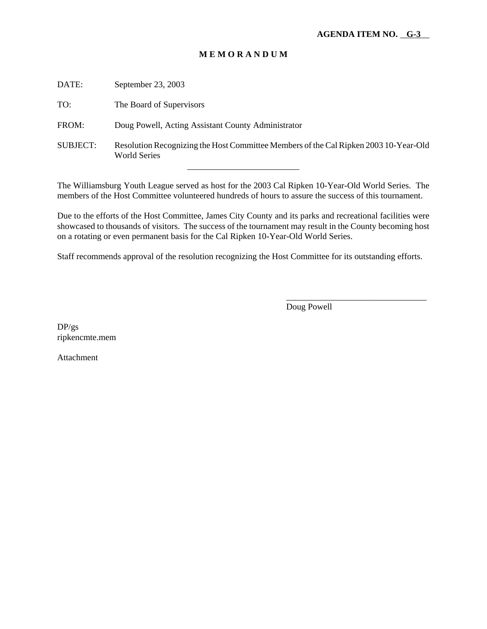| DATE:           | September 23, 2003                                                                                          |
|-----------------|-------------------------------------------------------------------------------------------------------------|
| TO:             | The Board of Supervisors                                                                                    |
| FROM:           | Doug Powell, Acting Assistant County Administrator                                                          |
| <b>SUBJECT:</b> | Resolution Recognizing the Host Committee Members of the Cal Ripken 2003 10-Year-Old<br><b>World Series</b> |
|                 |                                                                                                             |

The Williamsburg Youth League served as host for the 2003 Cal Ripken 10-Year-Old World Series. The members of the Host Committee volunteered hundreds of hours to assure the success of this tournament.

Due to the efforts of the Host Committee, James City County and its parks and recreational facilities were showcased to thousands of visitors. The success of the tournament may result in the County becoming host on a rotating or even permanent basis for the Cal Ripken 10-Year-Old World Series.

Staff recommends approval of the resolution recognizing the Host Committee for its outstanding efforts.

Doug Powell

\_\_\_\_\_\_\_\_\_\_\_\_\_\_\_\_\_\_\_\_\_\_\_\_\_\_\_\_\_\_\_\_

DP/gs ripkencmte.mem

Attachment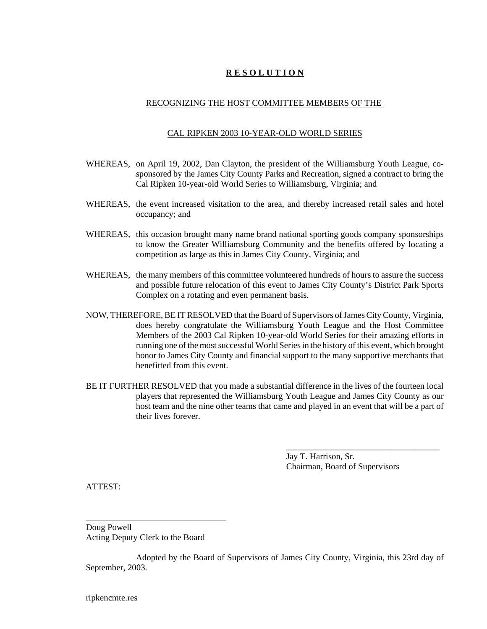# **R E S O L U T I O N**

# RECOGNIZING THE HOST COMMITTEE MEMBERS OF THE

### CAL RIPKEN 2003 10-YEAR-OLD WORLD SERIES

- WHEREAS, on April 19, 2002, Dan Clayton, the president of the Williamsburg Youth League, cosponsored by the James City County Parks and Recreation, signed a contract to bring the Cal Ripken 10-year-old World Series to Williamsburg, Virginia; and
- WHEREAS, the event increased visitation to the area, and thereby increased retail sales and hotel occupancy; and
- WHEREAS, this occasion brought many name brand national sporting goods company sponsorships to know the Greater Williamsburg Community and the benefits offered by locating a competition as large as this in James City County, Virginia; and
- WHEREAS, the many members of this committee volunteered hundreds of hours to assure the success and possible future relocation of this event to James City County's District Park Sports Complex on a rotating and even permanent basis.
- NOW, THEREFORE, BE IT RESOLVED that the Board of Supervisors of James City County, Virginia, does hereby congratulate the Williamsburg Youth League and the Host Committee Members of the 2003 Cal Ripken 10-year-old World Series for their amazing efforts in running one of the most successful World Series in the history of this event, which brought honor to James City County and financial support to the many supportive merchants that benefitted from this event.
- BE IT FURTHER RESOLVED that you made a substantial difference in the lives of the fourteen local players that represented the Williamsburg Youth League and James City County as our host team and the nine other teams that came and played in an event that will be a part of their lives forever.

Jay T. Harrison, Sr. Chairman, Board of Supervisors

\_\_\_\_\_\_\_\_\_\_\_\_\_\_\_\_\_\_\_\_\_\_\_\_\_\_\_\_\_\_\_\_\_\_\_

ATTEST:

Doug Powell Acting Deputy Clerk to the Board

\_\_\_\_\_\_\_\_\_\_\_\_\_\_\_\_\_\_\_\_\_\_\_\_\_\_\_\_\_\_\_\_

Adopted by the Board of Supervisors of James City County, Virginia, this 23rd day of September, 2003.

ripkencmte.res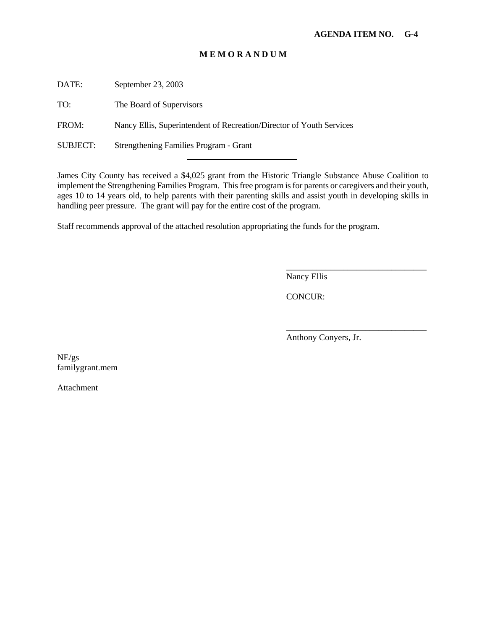DATE: September 23, 2003

TO: The Board of Supervisors

FROM: Nancy Ellis, Superintendent of Recreation/Director of Youth Services

l

SUBJECT: Strengthening Families Program - Grant

James City County has received a \$4,025 grant from the Historic Triangle Substance Abuse Coalition to implement the Strengthening Families Program. This free program is for parents or caregivers and their youth, ages 10 to 14 years old, to help parents with their parenting skills and assist youth in developing skills in handling peer pressure. The grant will pay for the entire cost of the program.

Staff recommends approval of the attached resolution appropriating the funds for the program.

Nancy Ellis

CONCUR:

Anthony Conyers, Jr.

\_\_\_\_\_\_\_\_\_\_\_\_\_\_\_\_\_\_\_\_\_\_\_\_\_\_\_\_\_\_\_\_

\_\_\_\_\_\_\_\_\_\_\_\_\_\_\_\_\_\_\_\_\_\_\_\_\_\_\_\_\_\_\_\_

NE/gs familygrant.mem

Attachment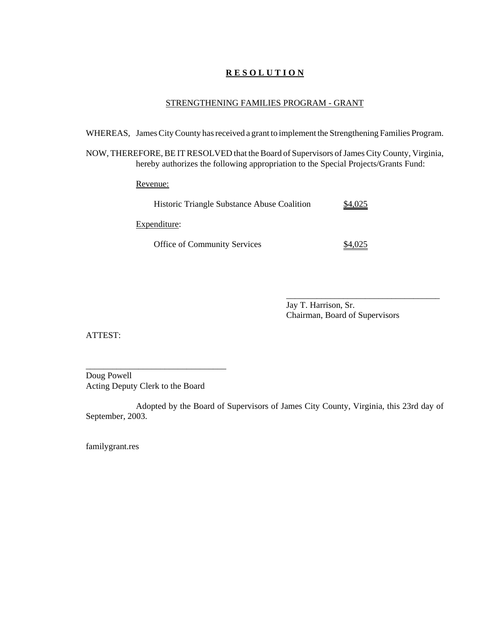# **R E S O L U T I O N**

# STRENGTHENING FAMILIES PROGRAM - GRANT

WHEREAS, James City County has received a grant to implement the Strengthening Families Program.

NOW, THEREFORE, BE IT RESOLVED that the Board of Supervisors of James City County, Virginia, hereby authorizes the following appropriation to the Special Projects/Grants Fund:

Revenue:

| Historic Triangle Substance Abuse Coalition | 4,025   |
|---------------------------------------------|---------|
| Expenditure:                                |         |
| <b>Office of Community Services</b>         | \$4.025 |

Jay T. Harrison, Sr. Chairman, Board of Supervisors

\_\_\_\_\_\_\_\_\_\_\_\_\_\_\_\_\_\_\_\_\_\_\_\_\_\_\_\_\_\_\_\_\_\_\_

ATTEST:

Doug Powell Acting Deputy Clerk to the Board

\_\_\_\_\_\_\_\_\_\_\_\_\_\_\_\_\_\_\_\_\_\_\_\_\_\_\_\_\_\_\_\_

Adopted by the Board of Supervisors of James City County, Virginia, this 23rd day of September, 2003.

familygrant.res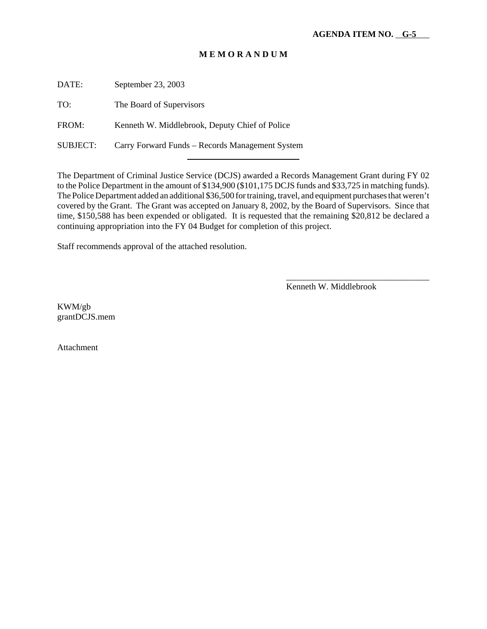DATE: September 23, 2003

TO: The Board of Supervisors

FROM: Kenneth W. Middlebrook, Deputy Chief of Police

SUBJECT: Carry Forward Funds – Records Management System

l

The Department of Criminal Justice Service (DCJS) awarded a Records Management Grant during FY 02 to the Police Department in the amount of \$134,900 (\$101,175 DCJS funds and \$33,725 in matching funds). The Police Department added an additional \$36,500 for training, travel, and equipment purchases that weren't covered by the Grant. The Grant was accepted on January 8, 2002, by the Board of Supervisors. Since that time, \$150,588 has been expended or obligated. It is requested that the remaining \$20,812 be declared a continuing appropriation into the FY 04 Budget for completion of this project.

Staff recommends approval of the attached resolution.

Kenneth W. Middlebrook

\_\_\_\_\_\_\_\_\_\_\_\_\_\_\_\_\_\_\_\_\_\_\_\_\_\_\_\_\_\_\_\_\_

KWM/gb grantDCJS.mem

Attachment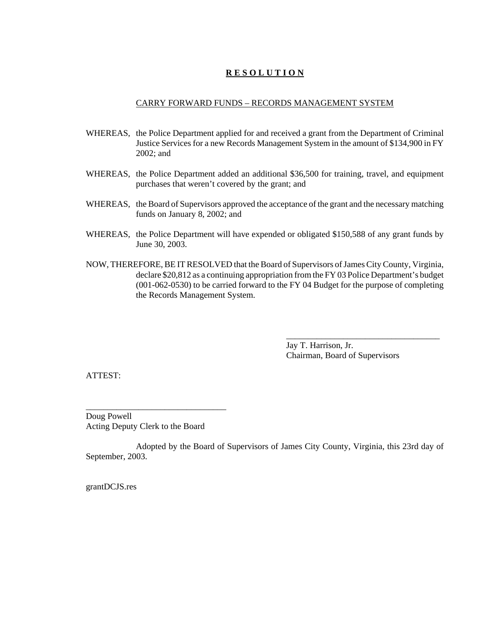# **R E S O L U T I O N**

# CARRY FORWARD FUNDS – RECORDS MANAGEMENT SYSTEM

- WHEREAS, the Police Department applied for and received a grant from the Department of Criminal Justice Services for a new Records Management System in the amount of \$134,900 in FY 2002; and
- WHEREAS, the Police Department added an additional \$36,500 for training, travel, and equipment purchases that weren't covered by the grant; and
- WHEREAS, the Board of Supervisors approved the acceptance of the grant and the necessary matching funds on January 8, 2002; and
- WHEREAS, the Police Department will have expended or obligated \$150,588 of any grant funds by June 30, 2003.
- NOW, THEREFORE, BE IT RESOLVED that the Board of Supervisors of James City County, Virginia, declare \$20,812 as a continuing appropriation from the FY 03 Police Department's budget (001-062-0530) to be carried forward to the FY 04 Budget for the purpose of completing the Records Management System.

Jay T. Harrison, Jr. Chairman, Board of Supervisors

\_\_\_\_\_\_\_\_\_\_\_\_\_\_\_\_\_\_\_\_\_\_\_\_\_\_\_\_\_\_\_\_\_\_\_

ATTEST:

Doug Powell Acting Deputy Clerk to the Board

\_\_\_\_\_\_\_\_\_\_\_\_\_\_\_\_\_\_\_\_\_\_\_\_\_\_\_\_\_\_\_\_

Adopted by the Board of Supervisors of James City County, Virginia, this 23rd day of September, 2003.

grantDCJS.res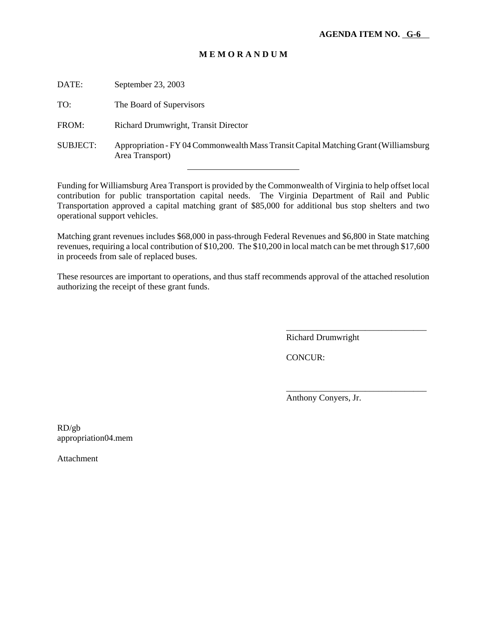| DATE:           | September 23, 2003                                                                                      |
|-----------------|---------------------------------------------------------------------------------------------------------|
| TO:             | The Board of Supervisors                                                                                |
| FROM:           | Richard Drumwright, Transit Director                                                                    |
| <b>SUBJECT:</b> | Appropriation - FY 04 Commonwealth Mass Transit Capital Matching Grant (Williamsburg<br>Area Transport) |
|                 |                                                                                                         |

Funding for Williamsburg Area Transport is provided by the Commonwealth of Virginia to help offset local contribution for public transportation capital needs. The Virginia Department of Rail and Public Transportation approved a capital matching grant of \$85,000 for additional bus stop shelters and two operational support vehicles.

Matching grant revenues includes \$68,000 in pass-through Federal Revenues and \$6,800 in State matching revenues, requiring a local contribution of \$10,200. The \$10,200 in local match can be met through \$17,600 in proceeds from sale of replaced buses.

These resources are important to operations, and thus staff recommends approval of the attached resolution authorizing the receipt of these grant funds.

Richard Drumwright

\_\_\_\_\_\_\_\_\_\_\_\_\_\_\_\_\_\_\_\_\_\_\_\_\_\_\_\_\_\_\_\_

\_\_\_\_\_\_\_\_\_\_\_\_\_\_\_\_\_\_\_\_\_\_\_\_\_\_\_\_\_\_\_\_

CONCUR:

Anthony Conyers, Jr.

RD/gb appropriation04.mem

Attachment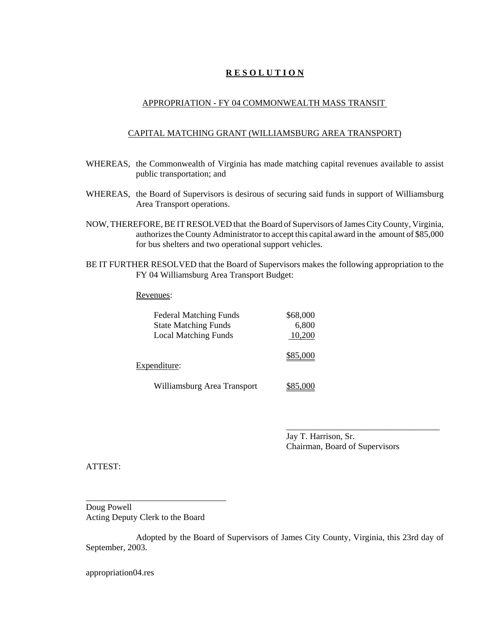# **R E S O L U T I O N**

# APPROPRIATION - FY 04 COMMONWEALTH MASS TRANSIT

# CAPITAL MATCHING GRANT (WILLIAMSBURG AREA TRANSPORT)

- WHEREAS, the Commonwealth of Virginia has made matching capital revenues available to assist public transportation; and
- WHEREAS, the Board of Supervisors is desirous of securing said funds in support of Williamsburg Area Transport operations.
- NOW, THEREFORE, BE IT RESOLVED that the Board of Supervisors of James City County, Virginia, authorizes the County Administrator to accept this capital award in the amount of \$85,000 for bus shelters and two operational support vehicles.
- BE IT FURTHER RESOLVED that the Board of Supervisors makes the following appropriation to the FY 04 Williamsburg Area Transport Budget:

#### Revenues:

| <b>Federal Matching Funds</b> | \$68,000 |
|-------------------------------|----------|
| <b>State Matching Funds</b>   | 6,800    |
| <b>Local Matching Funds</b>   | 10,200   |
| Expenditure:                  | \$85,000 |
| Williamsburg Area Transport   | \$85,000 |

Jay T. Harrison, Sr. Chairman, Board of Supervisors

\_\_\_\_\_\_\_\_\_\_\_\_\_\_\_\_\_\_\_\_\_\_\_\_\_\_\_\_\_\_\_\_\_\_\_

ATTEST:

Doug Powell Acting Deputy Clerk to the Board

\_\_\_\_\_\_\_\_\_\_\_\_\_\_\_\_\_\_\_\_\_\_\_\_\_\_\_\_\_\_\_\_

Adopted by the Board of Supervisors of James City County, Virginia, this 23rd day of September, 2003.

appropriation04.res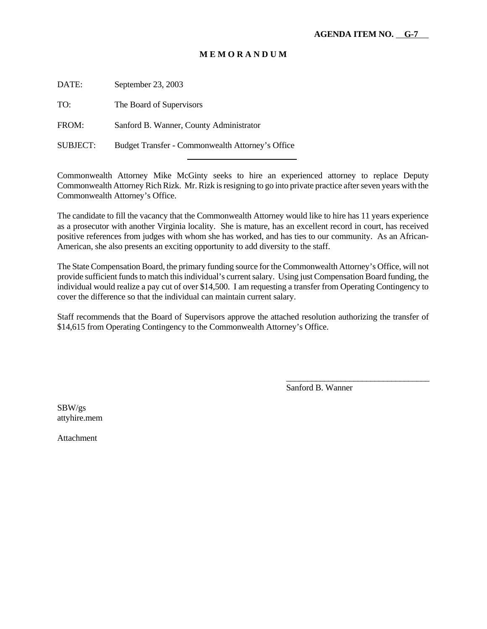DATE: September 23, 2003

TO: The Board of Supervisors

FROM: Sanford B. Wanner, County Administrator

SUBJECT: Budget Transfer - Commonwealth Attorney's Office

l

Commonwealth Attorney Mike McGinty seeks to hire an experienced attorney to replace Deputy Commonwealth Attorney Rich Rizk. Mr. Rizk is resigning to go into private practice after seven years with the Commonwealth Attorney's Office.

The candidate to fill the vacancy that the Commonwealth Attorney would like to hire has 11 years experience as a prosecutor with another Virginia locality. She is mature, has an excellent record in court, has received positive references from judges with whom she has worked, and has ties to our community. As an African-American, she also presents an exciting opportunity to add diversity to the staff.

The State Compensation Board, the primary funding source for the Commonwealth Attorney's Office, will not provide sufficient funds to match this individual's current salary. Using just Compensation Board funding, the individual would realize a pay cut of over \$14,500. I am requesting a transfer from Operating Contingency to cover the difference so that the individual can maintain current salary.

Staff recommends that the Board of Supervisors approve the attached resolution authorizing the transfer of \$14,615 from Operating Contingency to the Commonwealth Attorney's Office.

Sanford B. Wanner

\_\_\_\_\_\_\_\_\_\_\_\_\_\_\_\_\_\_\_\_\_\_\_\_\_\_\_\_\_\_\_\_\_\_

SBW/gs attyhire.mem

Attachment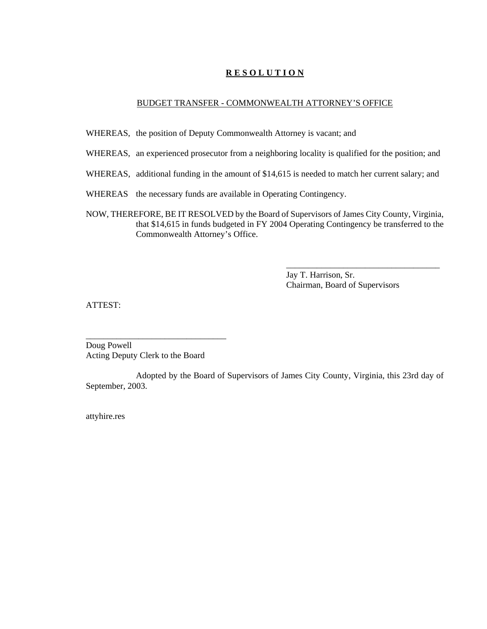# **R E S O L U T I O N**

### BUDGET TRANSFER - COMMONWEALTH ATTORNEY'S OFFICE

- WHEREAS, the position of Deputy Commonwealth Attorney is vacant; and
- WHEREAS, an experienced prosecutor from a neighboring locality is qualified for the position; and
- WHEREAS, additional funding in the amount of \$14,615 is needed to match her current salary; and
- WHEREAS the necessary funds are available in Operating Contingency.
- NOW, THEREFORE, BE IT RESOLVED by the Board of Supervisors of James City County, Virginia, that \$14,615 in funds budgeted in FY 2004 Operating Contingency be transferred to the Commonwealth Attorney's Office.

Jay T. Harrison, Sr. Chairman, Board of Supervisors

\_\_\_\_\_\_\_\_\_\_\_\_\_\_\_\_\_\_\_\_\_\_\_\_\_\_\_\_\_\_\_\_\_\_\_

ATTEST:

Doug Powell Acting Deputy Clerk to the Board

\_\_\_\_\_\_\_\_\_\_\_\_\_\_\_\_\_\_\_\_\_\_\_\_\_\_\_\_\_\_\_\_

Adopted by the Board of Supervisors of James City County, Virginia, this 23rd day of September, 2003.

attyhire.res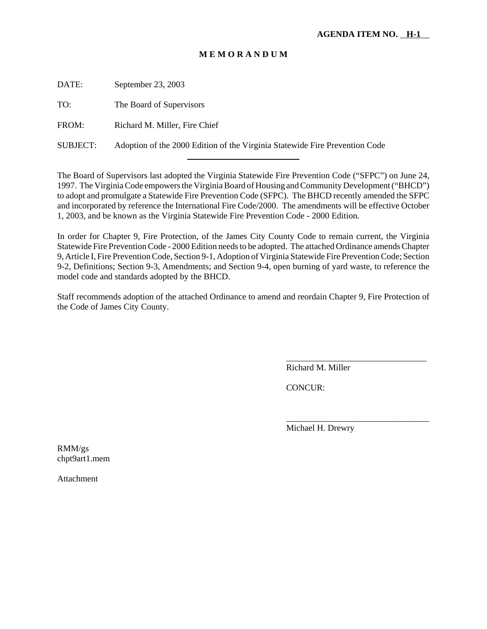DATE: September 23, 2003

TO: The Board of Supervisors

FROM: Richard M. Miller, Fire Chief

SUBJECT: Adoption of the 2000 Edition of the Virginia Statewide Fire Prevention Code

l

The Board of Supervisors last adopted the Virginia Statewide Fire Prevention Code ("SFPC") on June 24, 1997. The Virginia Code empowers the Virginia Board of Housing and Community Development ("BHCD") to adopt and promulgate a Statewide Fire Prevention Code (SFPC). The BHCD recently amended the SFPC and incorporated by reference the International Fire Code/2000. The amendments will be effective October 1, 2003, and be known as the Virginia Statewide Fire Prevention Code - 2000 Edition.

In order for Chapter 9, Fire Protection, of the James City County Code to remain current, the Virginia Statewide Fire Prevention Code - 2000 Edition needs to be adopted. The attached Ordinance amends Chapter 9, Article I, Fire Prevention Code, Section 9-1, Adoption of Virginia Statewide Fire Prevention Code; Section 9-2, Definitions; Section 9-3, Amendments; and Section 9-4, open burning of yard waste, to reference the model code and standards adopted by the BHCD.

Staff recommends adoption of the attached Ordinance to amend and reordain Chapter 9, Fire Protection of the Code of James City County.

Richard M. Miller

\_\_\_\_\_\_\_\_\_\_\_\_\_\_\_\_\_\_\_\_\_\_\_\_\_\_\_\_\_\_\_\_

\_\_\_\_\_\_\_\_\_\_\_\_\_\_\_\_\_\_\_\_\_\_\_\_\_\_\_\_\_\_\_\_\_

CONCUR:

Michael H. Drewry

RMM/gs chpt9art1.mem

Attachment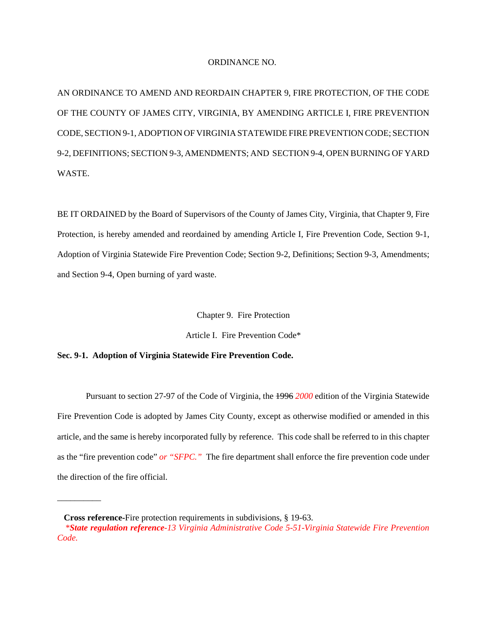#### ORDINANCE NO.

AN ORDINANCE TO AMEND AND REORDAIN CHAPTER 9, FIRE PROTECTION, OF THE CODE OF THE COUNTY OF JAMES CITY, VIRGINIA, BY AMENDING ARTICLE I, FIRE PREVENTION CODE, SECTION 9-1, ADOPTION OF VIRGINIA STATEWIDE FIRE PREVENTION CODE; SECTION 9-2, DEFINITIONS; SECTION 9-3, AMENDMENTS; AND SECTION 9-4, OPEN BURNING OF YARD WASTE.

BE IT ORDAINED by the Board of Supervisors of the County of James City, Virginia, that Chapter 9, Fire Protection, is hereby amended and reordained by amending Article I, Fire Prevention Code, Section 9-1, Adoption of Virginia Statewide Fire Prevention Code; Section 9-2, Definitions; Section 9-3, Amendments; and Section 9-4, Open burning of yard waste.

Chapter 9. Fire Protection

Article I. Fire Prevention Code\*

#### **Sec. 9-1. Adoption of Virginia Statewide Fire Prevention Code.**

Pursuant to section 27-97 of the Code of Virginia, the 1996 *2000* edition of the Virginia Statewide Fire Prevention Code is adopted by James City County, except as otherwise modified or amended in this article, and the same is hereby incorporated fully by reference. This code shall be referred to in this chapter as the "fire prevention code" *or "SFPC."* The fire department shall enforce the fire prevention code under the direction of the fire official.

\_\_\_\_\_\_\_\_\_\_

**Cross reference-**Fire protection requirements in subdivisions, § 19-63.

*\*State regulation reference-13 Virginia Administrative Code 5-51-Virginia Statewide Fire Prevention Code.*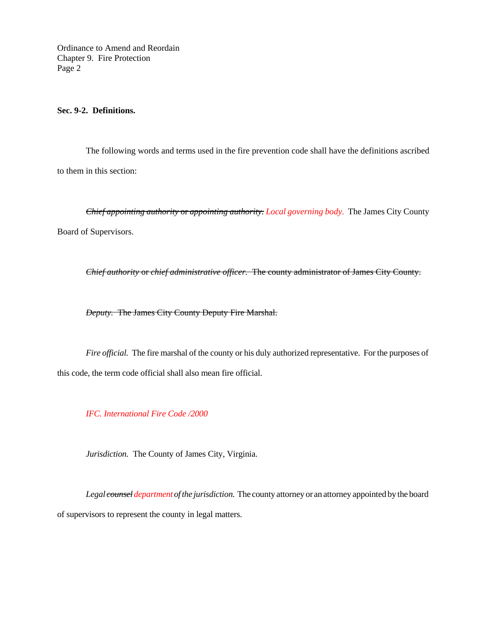Ordinance to Amend and Reordain Chapter 9. Fire Protection Page 2

# **Sec. 9-2. Definitions.**

The following words and terms used in the fire prevention code shall have the definitions ascribed to them in this section:

*Chief appointing authority* or *appointing authority. Local governing body.* The James City County Board of Supervisors.

*Chief authority* or *chief administrative officer.* The county administrator of James City County.

*Deputy.* The James City County Deputy Fire Marshal.

*Fire official.* The fire marshal of the county or his duly authorized representative. For the purposes of this code, the term code official shall also mean fire official.

*IFC. International Fire Code /2000*

*Jurisdiction.* The County of James City, Virginia.

*Legal counsel department of the jurisdiction.* The county attorney or an attorney appointed by the board of supervisors to represent the county in legal matters.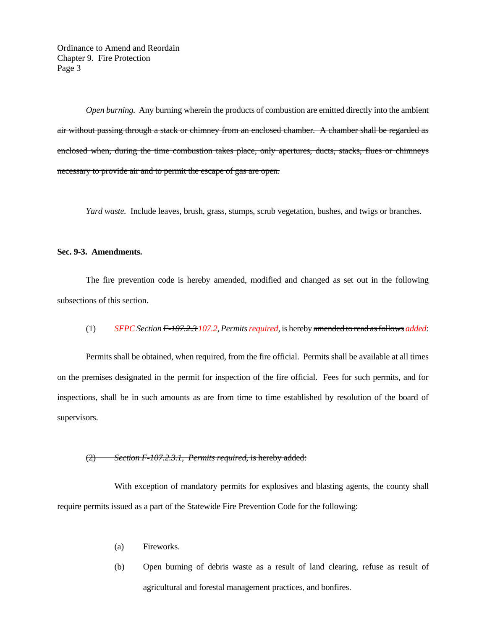Ordinance to Amend and Reordain Chapter 9. Fire Protection Page 3

*Open burning.* Any burning wherein the products of combustion are emitted directly into the ambient air without passing through a stack or chimney from an enclosed chamber. A chamber shall be regarded as enclosed when, during the time combustion takes place, only apertures, ducts, stacks, flues or chimneys necessary to provide air and to permit the escape of gas are open.

*Yard waste.* Include leaves, brush, grass, stumps, scrub vegetation, bushes, and twigs or branches.

#### **Sec. 9-3. Amendments.**

The fire prevention code is hereby amended, modified and changed as set out in the following subsections of this section.

#### (1) *SFPC Section F-107.2.3 107.2, Permits required,* is hereby amended to read as follows *added*:

Permits shall be obtained, when required, from the fire official. Permits shall be available at all times on the premises designated in the permit for inspection of the fire official. Fees for such permits, and for inspections, shall be in such amounts as are from time to time established by resolution of the board of supervisors.

#### (2) *Section F-107.2.3.1, Permits required*, is hereby added:

With exception of mandatory permits for explosives and blasting agents, the county shall require permits issued as a part of the Statewide Fire Prevention Code for the following:

- (a) Fireworks.
- (b) Open burning of debris waste as a result of land clearing, refuse as result of agricultural and forestal management practices, and bonfires.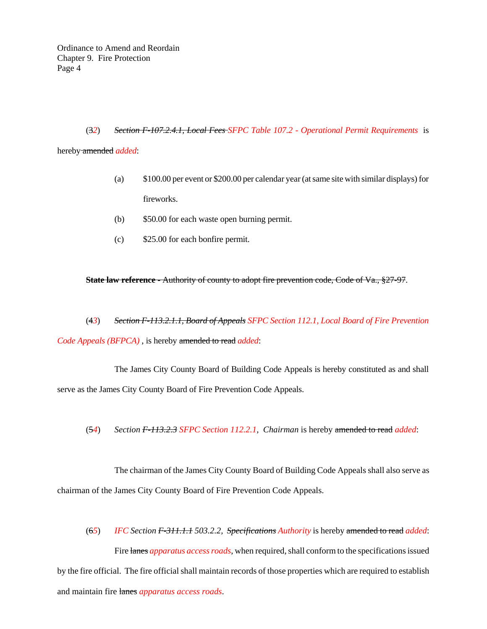# (3*2*) *Section F-107.2.4.1, Local Fees SFPC Table 107.2 - Operational Permit Requirements* is hereby amended *added*:

(a) \$100.00 per event or \$200.00 per calendar year (at same site with similar displays) for

fireworks.

- (b) \$50.00 for each waste open burning permit.
- (c) \$25.00 for each bonfire permit.

# **State law reference -** Authority of county to adopt fire prevention code, Code of Va., §27-97.

(4*3*) *Section F-113.2.1.1, Board of Appeals SFPC Section 112.1, Local Board of Fire Prevention Code Appeals (BFPCA)* , is hereby amended to read *added*:

The James City County Board of Building Code Appeals is hereby constituted as and shall serve as the James City County Board of Fire Prevention Code Appeals.

(5*4*) *Section F-113.2.3 SFPC Section 112.2.1, Chairman* is hereby amended to read *added*:

The chairman of the James City County Board of Building Code Appeals shall also serve as chairman of the James City County Board of Fire Prevention Code Appeals.

(6*5*) *IFC Section F-311.1.1 503.2.2, Specifications Authority* is hereby amended to read *added*: Fire lanes *apparatus access roads*, when required, shall conform to the specifications issued by the fire official. The fire official shall maintain records of those properties which are required to establish and maintain fire lanes *apparatus access roads*.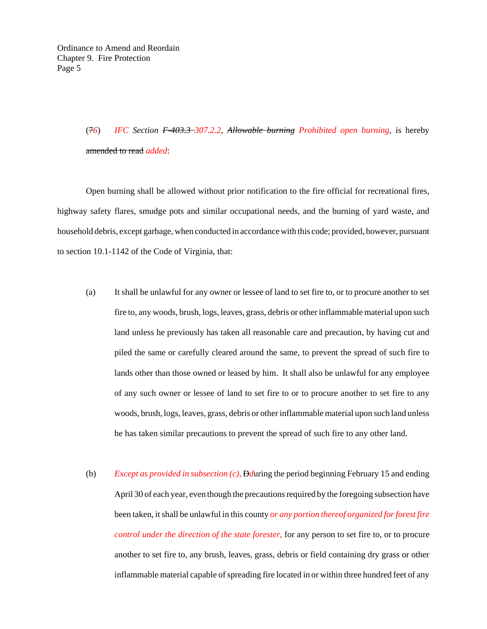# (7*6*) *IFC Section F-403.3 307.2.2, Allowable burning Prohibited open burning*, is hereby amended to read *added*:

Open burning shall be allowed without prior notification to the fire official for recreational fires, highway safety flares, smudge pots and similar occupational needs, and the burning of yard waste, and household debris, except garbage, when conducted in accordance with this code; provided, however, pursuant to section 10.1-1142 of the Code of Virginia, that:

- (a) It shall be unlawful for any owner or lessee of land to set fire to, or to procure another to set fire to, any woods, brush, logs, leaves, grass, debris or other inflammable material upon such land unless he previously has taken all reasonable care and precaution, by having cut and piled the same or carefully cleared around the same, to prevent the spread of such fire to lands other than those owned or leased by him. It shall also be unlawful for any employee of any such owner or lessee of land to set fire to or to procure another to set fire to any woods, brush, logs, leaves, grass, debris or other inflammable material upon such land unless he has taken similar precautions to prevent the spread of such fire to any other land.
- (b) *Except as provided in subsection (c),* D*d*uring the period beginning February 15 and ending April 30 of each year, even though the precautions required by the foregoing subsection have been taken, it shall be unlawful in this county *or any portion thereof organized for forest fire control under the direction of the state forester,* for any person to set fire to, or to procure another to set fire to, any brush, leaves, grass, debris or field containing dry grass or other inflammable material capable of spreading fire located in or within three hundred feet of any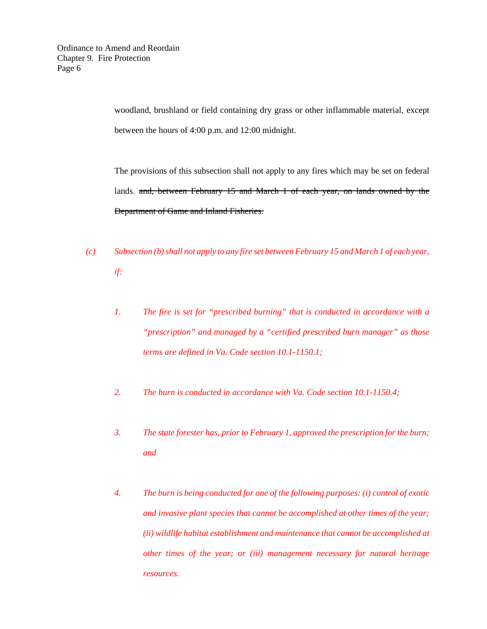woodland, brushland or field containing dry grass or other inflammable material, except between the hours of 4:00 p.m. and 12:00 midnight.

The provisions of this subsection shall not apply to any fires which may be set on federal lands*.* and, between February 15 and March 1 of each year, on lands owned by the Department of Game and Inland Fisheries.

*(c) Subsection (b) shall not apply to any fire set between February 15 and March 1 of each year,*

*if:*

- *1. The fire is set for "prescribed burning" that is conducted in accordance with a "prescription" and managed by a "certified prescribed burn manager" as those terms are defined in Va. Code section 10.1-1150.1;*
- *2. The burn is conducted in accordance with Va. Code section 10.1-1150.4;*
- *3. The state forester has, prior to February 1, approved the prescription for the burn; and*
- *4. The burn is being conducted for one of the following purposes: (i) control of exotic and invasive plant species that cannot be accomplished at other times of the year; (ii) wildlife habitat establishment and maintenance that cannot be accomplished at other times of the year; or (iii) management necessary for natural heritage resources.*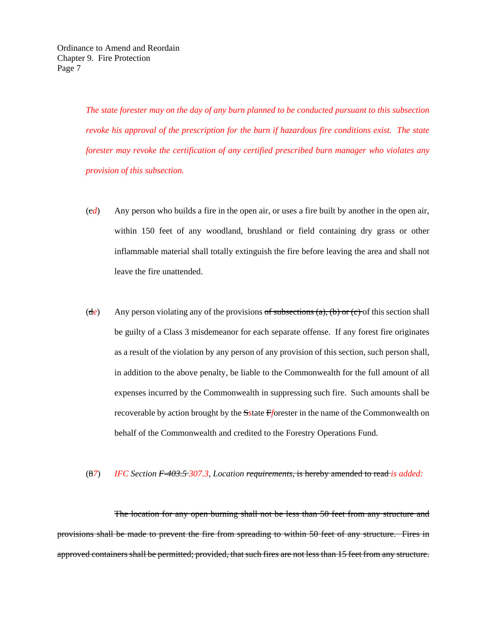*The state forester may on the day of any burn planned to be conducted pursuant to this subsection revoke his approval of the prescription for the burn if hazardous fire conditions exist. The state forester may revoke the certification of any certified prescribed burn manager who violates any provision of this subsection.* 

- (c*d*) Any person who builds a fire in the open air, or uses a fire built by another in the open air, within 150 feet of any woodland, brushland or field containing dry grass or other inflammable material shall totally extinguish the fire before leaving the area and shall not leave the fire unattended.
- (de) Any person violating any of the provisions of subsections (a), (b) or (c) of this section shall be guilty of a Class 3 misdemeanor for each separate offense. If any forest fire originates as a result of the violation by any person of any provision of this section, such person shall, in addition to the above penalty, be liable to the Commonwealth for the full amount of all expenses incurred by the Commonwealth in suppressing such fire. Such amounts shall be recoverable by action brought by the S*s*tate F*f*orester in the name of the Commonwealth on behalf of the Commonwealth and credited to the Forestry Operations Fund.
- (8*7*) *IFC Section F-403.5 307.3, Location requirements*, is hereby amended to read *is added:*

The location for any open burning shall not be less than 50 feet from any structure and provisions shall be made to prevent the fire from spreading to within 50 feet of any structure. Fires in approved containers shall be permitted; provided, that such fires are not less than 15 feet from any structure.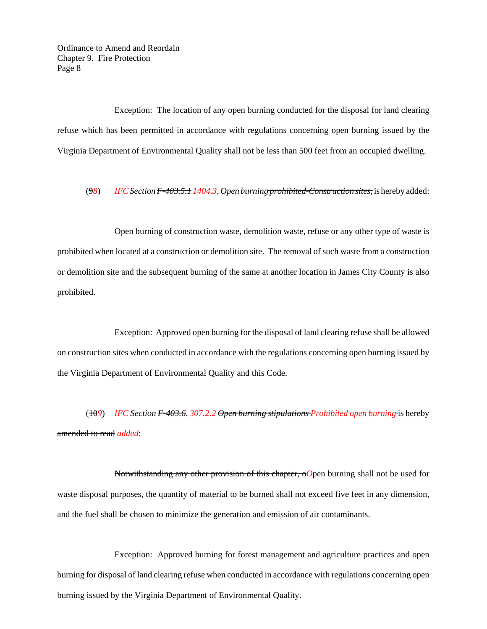Ordinance to Amend and Reordain Chapter 9. Fire Protection Page 8

Exception: The location of any open burning conducted for the disposal for land clearing refuse which has been permitted in accordance with regulations concerning open burning issued by the Virginia Department of Environmental Quality shall not be less than 500 feet from an occupied dwelling.

(9*8*) *IFCSectionF-403.5.1 1404.3, Open burning prohibited-Construction sites,* is hereby added:

Open burning of construction waste, demolition waste, refuse or any other type of waste is prohibited when located at a construction or demolition site. The removal of such waste from a construction or demolition site and the subsequent burning of the same at another location in James City County is also prohibited.

Exception: Approved open burning for the disposal of land clearing refuse shall be allowed on construction sites when conducted in accordance with the regulations concerning open burning issued by the Virginia Department of Environmental Quality and this Code.

(10*9*) *IFC Section F-403.6, 307.2.2 Open burning stipulations Prohibited open burning* is hereby amended to read *added*:

Notwithstanding any other provision of this chapter, o*O*pen burning shall not be used for waste disposal purposes, the quantity of material to be burned shall not exceed five feet in any dimension, and the fuel shall be chosen to minimize the generation and emission of air contaminants.

Exception: Approved burning for forest management and agriculture practices and open burning for disposal of land clearing refuse when conducted in accordance with regulations concerning open burning issued by the Virginia Department of Environmental Quality.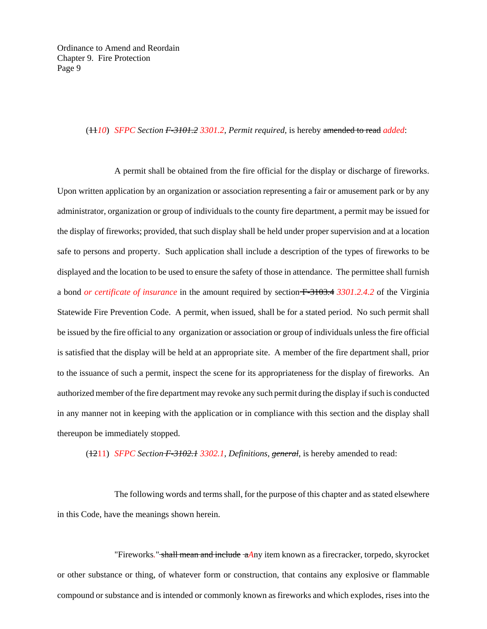#### (11*10*) *SFPC Section F-3101.2 3301.2, Permit required,* is hereby amended to read *added*:

A permit shall be obtained from the fire official for the display or discharge of fireworks. Upon written application by an organization or association representing a fair or amusement park or by any administrator, organization or group of individuals to the county fire department, a permit may be issued for the display of fireworks; provided, that such display shall be held under proper supervision and at a location safe to persons and property. Such application shall include a description of the types of fireworks to be displayed and the location to be used to ensure the safety of those in attendance. The permittee shall furnish a bond *or certificate of insurance* in the amount required by section F-3103.4 *3301.2.4.2* of the Virginia Statewide Fire Prevention Code. A permit, when issued, shall be for a stated period. No such permit shall be issued by the fire official to any organization or association or group of individuals unless the fire official is satisfied that the display will be held at an appropriate site. A member of the fire department shall, prior to the issuance of such a permit, inspect the scene for its appropriateness for the display of fireworks. An authorized member of the fire department may revoke any such permit during the display if such is conducted in any manner not in keeping with the application or in compliance with this section and the display shall thereupon be immediately stopped.

(1211) *SFPC Section F-3102.1 3302.1, Definitions, general*, is hereby amended to read:

The following words and terms shall, for the purpose of this chapter and as stated elsewhere in this Code, have the meanings shown herein.

"Fireworks*.*" shall mean and include a*A*ny item known as a firecracker, torpedo, skyrocket or other substance or thing, of whatever form or construction, that contains any explosive or flammable compound or substance and is intended or commonly known as fireworks and which explodes, rises into the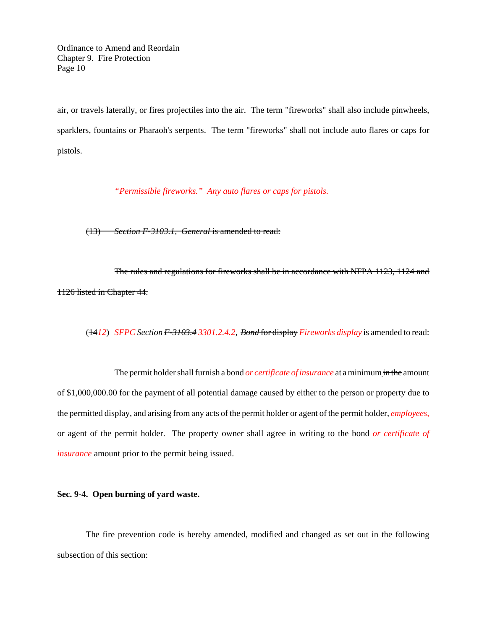Ordinance to Amend and Reordain Chapter 9. Fire Protection Page 10

air, or travels laterally, or fires projectiles into the air. The term "fireworks" shall also include pinwheels, sparklers, fountains or Pharaoh's serpents. The term "fireworks" shall not include auto flares or caps for pistols.

*"Permissible fireworks." Any auto flares or caps for pistols.*

(13) *Section F-3103.1, General* is amended to read:

The rules and regulations for fireworks shall be in accordance with NFPA 1123, 1124 and 1126 listed in Chapter 44.

(14*12*) *SFPC Section F-3103.4 3301.2.4.2, Bond* for display *Fireworks display* is amended to read:

The permit holder shall furnish a bond *or certificate of insurance* at a minimum in the amount of \$1,000,000.00 for the payment of all potential damage caused by either to the person or property due to the permitted display, and arising from any acts of the permit holder or agent of the permit holder, *employees,* or agent of the permit holder. The property owner shall agree in writing to the bond *or certificate of insurance* amount prior to the permit being issued.

# **Sec. 9-4. Open burning of yard waste.**

The fire prevention code is hereby amended, modified and changed as set out in the following subsection of this section: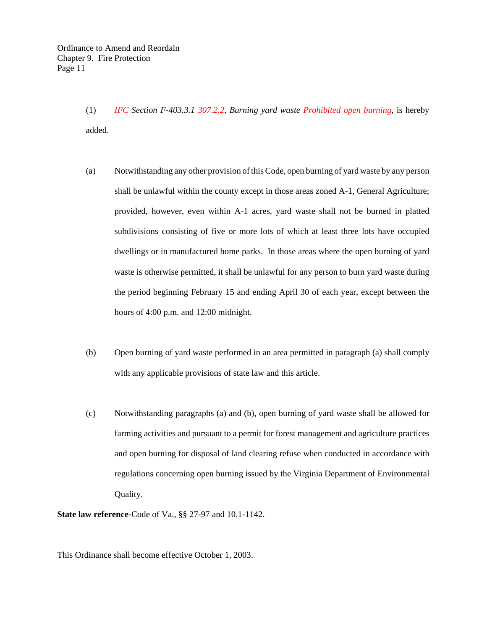(1) *IFC Section F-403.3.1 307.2.2, Burning yard waste Prohibited open burning,* is hereby added.

- (a) Notwithstanding any other provision of this Code, open burning of yard waste by any person shall be unlawful within the county except in those areas zoned A-1, General Agriculture; provided, however, even within A-1 acres, yard waste shall not be burned in platted subdivisions consisting of five or more lots of which at least three lots have occupied dwellings or in manufactured home parks. In those areas where the open burning of yard waste is otherwise permitted, it shall be unlawful for any person to burn yard waste during the period beginning February 15 and ending April 30 of each year, except between the hours of 4:00 p.m. and 12:00 midnight.
- (b) Open burning of yard waste performed in an area permitted in paragraph (a) shall comply with any applicable provisions of state law and this article.
- (c) Notwithstanding paragraphs (a) and (b), open burning of yard waste shall be allowed for farming activities and pursuant to a permit for forest management and agriculture practices and open burning for disposal of land clearing refuse when conducted in accordance with regulations concerning open burning issued by the Virginia Department of Environmental Quality.

**State law reference-**Code of Va., §§ 27-97 and 10.1-1142.

This Ordinance shall become effective October 1, 2003.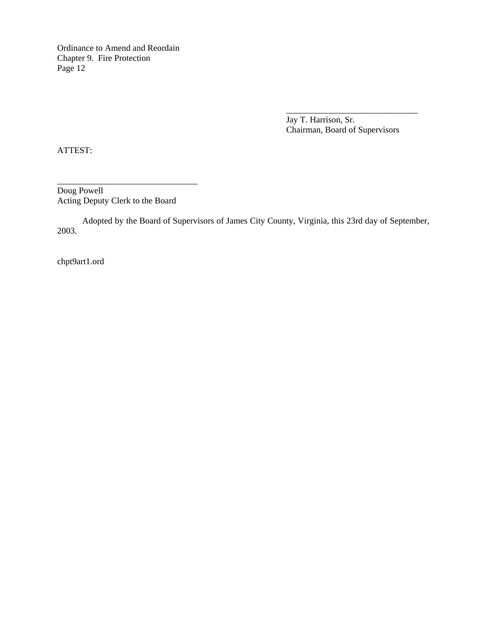Ordinance to Amend and Reordain Chapter 9. Fire Protection Page 12

> Jay T. Harrison, Sr. Chairman, Board of Supervisors

\_\_\_\_\_\_\_\_\_\_\_\_\_\_\_\_\_\_\_\_\_\_\_\_\_\_\_\_\_\_

ATTEST:

Doug Powell Acting Deputy Clerk to the Board

\_\_\_\_\_\_\_\_\_\_\_\_\_\_\_\_\_\_\_\_\_\_\_\_\_\_\_\_\_\_\_\_

Adopted by the Board of Supervisors of James City County, Virginia, this 23rd day of September, 2003.

chpt9art1.ord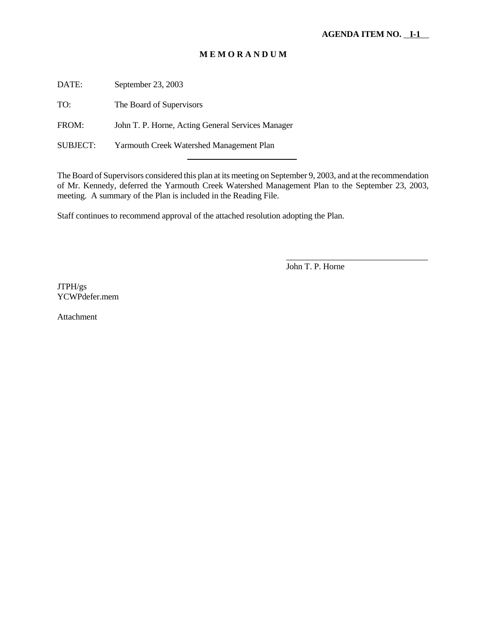DATE: September 23, 2003

TO: The Board of Supervisors

FROM: John T. P. Horne, Acting General Services Manager

l

SUBJECT: Yarmouth Creek Watershed Management Plan

The Board of Supervisors considered this plan at its meeting on September 9, 2003, and at the recommendation of Mr. Kennedy, deferred the Yarmouth Creek Watershed Management Plan to the September 23, 2003, meeting. A summary of the Plan is included in the Reading File.

Staff continues to recommend approval of the attached resolution adopting the Plan.

John T. P. Horne

\_\_\_\_\_\_\_\_\_\_\_\_\_\_\_\_\_\_\_\_\_\_\_\_\_\_\_\_\_\_\_\_\_

JTPH/gs YCWPdefer.mem

Attachment